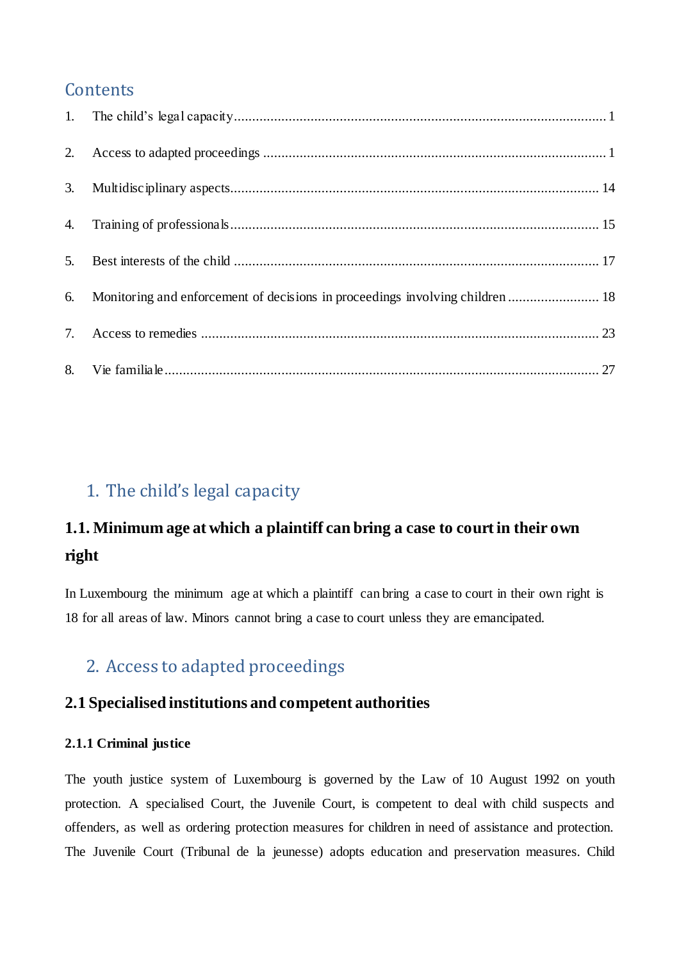# **Contents**

| 3. |  |
|----|--|
|    |  |
| 5. |  |
| 6. |  |
|    |  |
|    |  |

# <span id="page-0-0"></span>1. The child's legal capacity

# **1.1. Minimum age at which a plaintiff can bring a case to court in their own right**

In Luxembourg the minimum age at which a plaintiff can bring a case to court in their own right is 18 for all areas of law. Minors cannot bring a case to court unless they are emancipated.

# <span id="page-0-1"></span>2. Access to adapted proceedings

# **2.1 Specialised institutions and competent authorities**

# **2.1.1 Criminal justice**

The youth justice system of Luxembourg is governed by the Law of 10 August 1992 on youth protection. A specialised Court, the Juvenile Court, is competent to deal with child suspects and offenders, as well as ordering protection measures for children in need of assistance and protection. The Juvenile Court (Tribunal de la jeunesse) adopts education and preservation measures. Child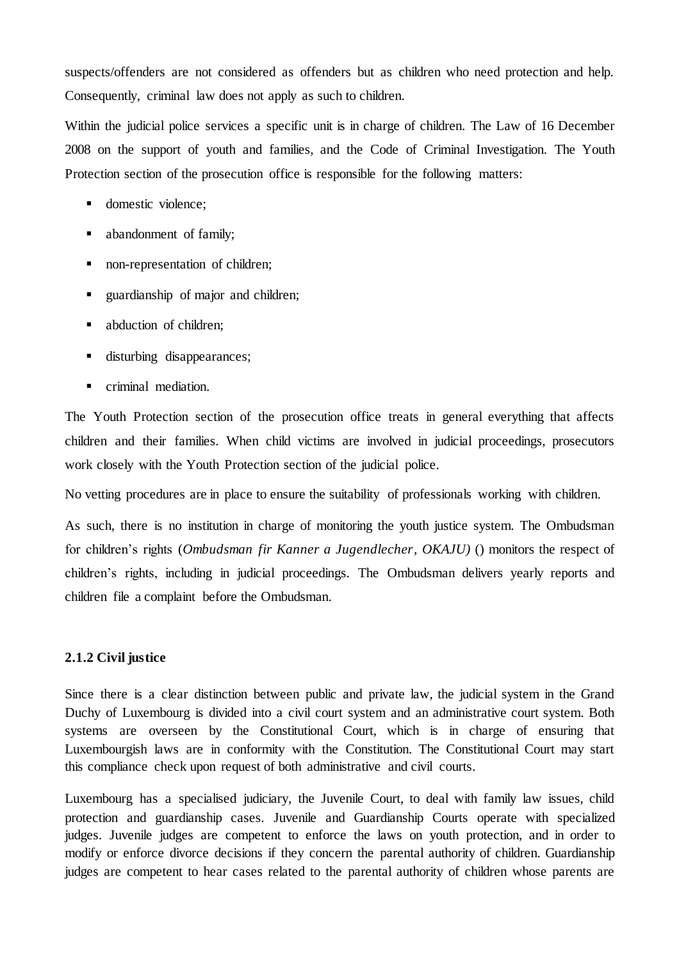suspects/offenders are not considered as offenders but as children who need protection and help. Consequently, criminal law does not apply as such to children.

Within the judicial police services a specific unit is in charge of children. The Law of 16 December 2008 on the support of youth and families, and the Code of Criminal Investigation. The Youth Protection section of the prosecution office is responsible for the following matters:

- domestic violence;
- abandonment of family;
- non-representation of children;
- quardianship of major and children;
- abduction of children:
- disturbing disappearances;
- criminal mediation.

The Youth Protection section of the prosecution office treats in general everything that affects children and their families. When child victims are involved in judicial proceedings, prosecutors work closely with the Youth Protection section of the judicial police.

No vetting procedures are in place to ensure the suitability of professionals working with children.

As such, there is no institution in charge of monitoring the youth justice system. The Ombudsman for children's rights (*Ombudsman fir Kanner a Jugendlecher, OKAJU)* () monitors the respect of children's rights, including in judicial proceedings. The Ombudsman delivers yearly reports and children file a complaint before the Ombudsman.

### **2.1.2 Civil justice**

Since there is a clear distinction between public and private law, the judicial system in the Grand Duchy of Luxembourg is divided into a civil court system and an administrative court system. Both systems are overseen by the Constitutional Court, which is in charge of ensuring that Luxembourgish laws are in conformity with the Constitution. The Constitutional Court may start this compliance check upon request of both administrative and civil courts.

Luxembourg has a specialised judiciary, the Juvenile Court, to deal with family law issues, child protection and guardianship cases. Juvenile and Guardianship Courts operate with specialized judges. Juvenile judges are competent to enforce the laws on youth protection, and in order to modify or enforce divorce decisions if they concern the parental authority of children. Guardianship judges are competent to hear cases related to the parental authority of children whose parents are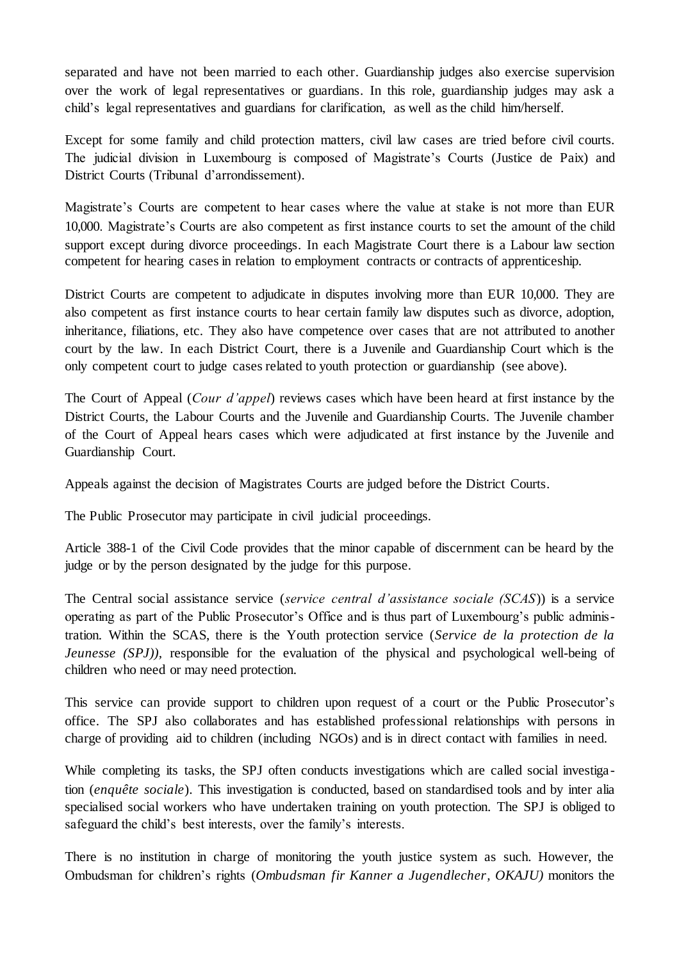separated and have not been married to each other. Guardianship judges also exercise supervision over the work of legal representatives or guardians. In this role, guardianship judges may ask a child's legal representatives and guardians for clarification, as well as the child him/herself.

Except for some family and child protection matters, civil law cases are tried before civil courts. The judicial division in Luxembourg is composed of Magistrate's Courts (Justice de Paix) and District Courts (Tribunal d'arrondissement).

Magistrate's Courts are competent to hear cases where the value at stake is not more than EUR 10,000. Magistrate's Courts are also competent as first instance courts to set the amount of the child support except during divorce proceedings. In each Magistrate Court there is a Labour law section competent for hearing cases in relation to employment contracts or contracts of apprenticeship.

District Courts are competent to adjudicate in disputes involving more than EUR 10,000. They are also competent as first instance courts to hear certain family law disputes such as divorce, adoption, inheritance, filiations, etc. They also have competence over cases that are not attributed to another court by the law. In each District Court, there is a Juvenile and Guardianship Court which is the only competent court to judge cases related to youth protection or guardianship (see above).

The Court of Appeal (*Cour d'appel*) reviews cases which have been heard at first instance by the District Courts, the Labour Courts and the Juvenile and Guardianship Courts. The Juvenile chamber of the Court of Appeal hears cases which were adjudicated at first instance by the Juvenile and Guardianship Court.

Appeals against the decision of Magistrates Courts are judged before the District Courts.

The Public Prosecutor may participate in civil judicial proceedings.

Article 388-1 of the Civil Code provides that the minor capable of discernment can be heard by the judge or by the person designated by the judge for this purpose.

The Central social assistance service (*service central d'assistance sociale (SCAS*)) is a service operating as part of the Public Prosecutor's Office and is thus part of Luxembourg's public administration. Within the SCAS, there is the Youth protection service (*Service de la protection de la Jeunesse (SPJ)*, responsible for the evaluation of the physical and psychological well-being of children who need or may need protection.

This service can provide support to children upon request of a court or the Public Prosecutor's office. The SPJ also collaborates and has established professional relationships with persons in charge of providing aid to children (including NGOs) and is in direct contact with families in need.

While completing its tasks, the SPJ often conducts investigations which are called social investigation (*enquête sociale*). This investigation is conducted, based on standardised tools and by inter alia specialised social workers who have undertaken training on youth protection. The SPJ is obliged to safeguard the child's best interests, over the family's interests.

There is no institution in charge of monitoring the youth justice system as such. However, the Ombudsman for children's rights (*Ombudsman fir Kanner a Jugendlecher, OKAJU)* monitors the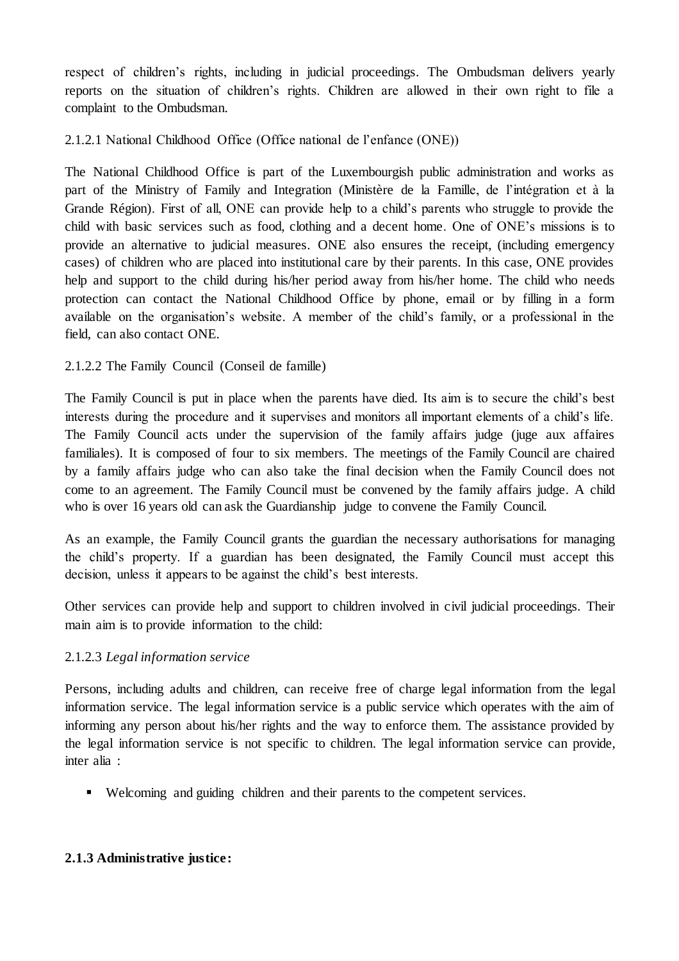respect of children's rights, including in judicial proceedings. The Ombudsman delivers yearly reports on the situation of children's rights. Children are allowed in their own right to file a complaint to the Ombudsman.

2.1.2.1 National Childhood Office (Office national de l'enfance (ONE))

The National Childhood Office is part of the Luxembourgish public administration and works as part of the Ministry of Family and Integration (Ministère de la Famille, de l'intégration et à la Grande Région). First of all, ONE can provide help to a child's parents who struggle to provide the child with basic services such as food, clothing and a decent home. One of ONE's missions is to provide an alternative to judicial measures. ONE also ensures the receipt, (including emergency cases) of children who are placed into institutional care by their parents. In this case, ONE provides help and support to the child during his/her period away from his/her home. The child who needs protection can contact the National Childhood Office by phone, email or by filling in a form available on the organisation's website. A member of the child's family, or a professional in the field, can also contact ONE.

# 2.1.2.2 The Family Council (Conseil de famille)

The Family Council is put in place when the parents have died. Its aim is to secure the child's best interests during the procedure and it supervises and monitors all important elements of a child's life. The Family Council acts under the supervision of the family affairs judge (juge aux affaires familiales). It is composed of four to six members. The meetings of the Family Council are chaired by a family affairs judge who can also take the final decision when the Family Council does not come to an agreement. The Family Council must be convened by the family affairs judge. A child who is over 16 years old can ask the Guardianship judge to convene the Family Council.

As an example, the Family Council grants the guardian the necessary authorisations for managing the child's property. If a guardian has been designated, the Family Council must accept this decision, unless it appears to be against the child's best interests.

Other services can provide help and support to children involved in civil judicial proceedings. Their main aim is to provide information to the child:

# 2.1.2.3 *Legal information service*

Persons, including adults and children, can receive free of charge legal information from the legal information service. The legal information service is a public service which operates with the aim of informing any person about his/her rights and the way to enforce them. The assistance provided by the legal information service is not specific to children. The legal information service can provide, inter alia :

Welcoming and guiding children and their parents to the competent services.

# **2.1.3 Administrative justice:**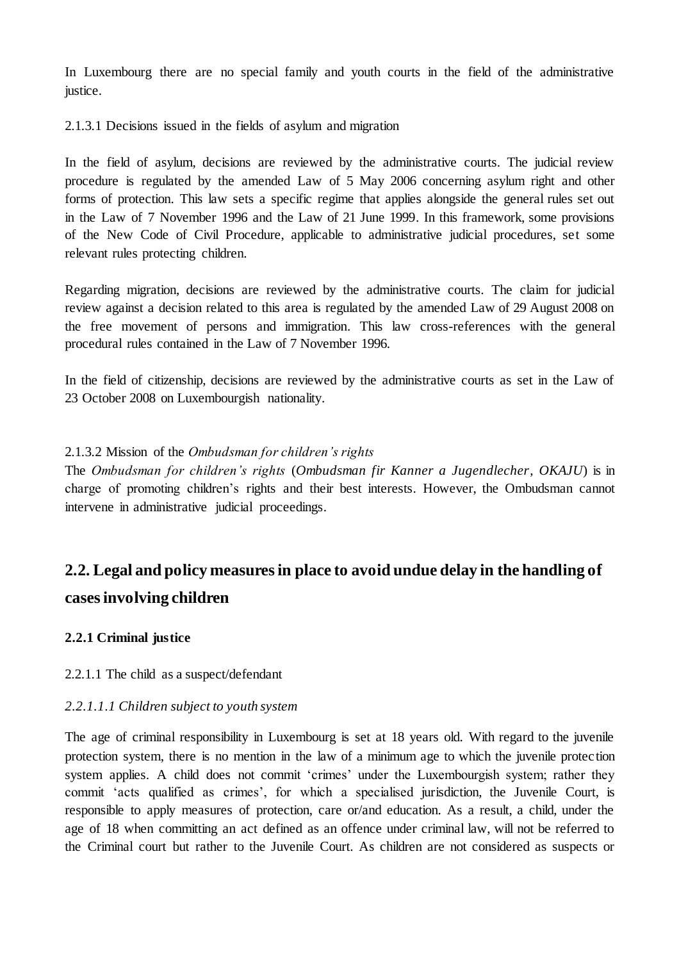In Luxembourg there are no special family and youth courts in the field of the administrative justice.

2.1.3.1 Decisions issued in the fields of asylum and migration

In the field of asylum, decisions are reviewed by the administrative courts. The judicial review procedure is regulated by the amended Law of 5 May 2006 concerning asylum right and other forms of protection. This law sets a specific regime that applies alongside the general rules set out in the Law of 7 November 1996 and the Law of 21 June 1999. In this framework, some provisions of the New Code of Civil Procedure, applicable to administrative judicial procedures, set some relevant rules protecting children.

Regarding migration, decisions are reviewed by the administrative courts. The claim for judicial review against a decision related to this area is regulated by the amended Law of 29 August 2008 on the free movement of persons and immigration. This law cross-references with the general procedural rules contained in the Law of 7 November 1996.

In the field of citizenship, decisions are reviewed by the administrative courts as set in the Law of 23 October 2008 on Luxembourgish nationality.

# 2.1.3.2 Mission of the *Ombudsman for children's rights*

The *Ombudsman for children's rights* (*Ombudsman fir Kanner a Jugendlecher, OKAJU*) is in charge of promoting children's rights and their best interests. However, the Ombudsman cannot intervene in administrative judicial proceedings.

# **2.2. Legal and policy measures in place to avoid undue delay in the handling of cases involving children**

# **2.2.1 Criminal justice**

### 2.2.1.1 The child as a suspect/defendant

### *2.2.1.1.1 Children subject to youth system*

The age of criminal responsibility in Luxembourg is set at 18 years old. With regard to the juvenile protection system, there is no mention in the law of a minimum age to which the juvenile protection system applies. A child does not commit 'crimes' under the Luxembourgish system; rather they commit 'acts qualified as crimes', for which a specialised jurisdiction, the Juvenile Court, is responsible to apply measures of protection, care or/and education. As a result, a child, under the age of 18 when committing an act defined as an offence under criminal law, will not be referred to the Criminal court but rather to the Juvenile Court. As children are not considered as suspects or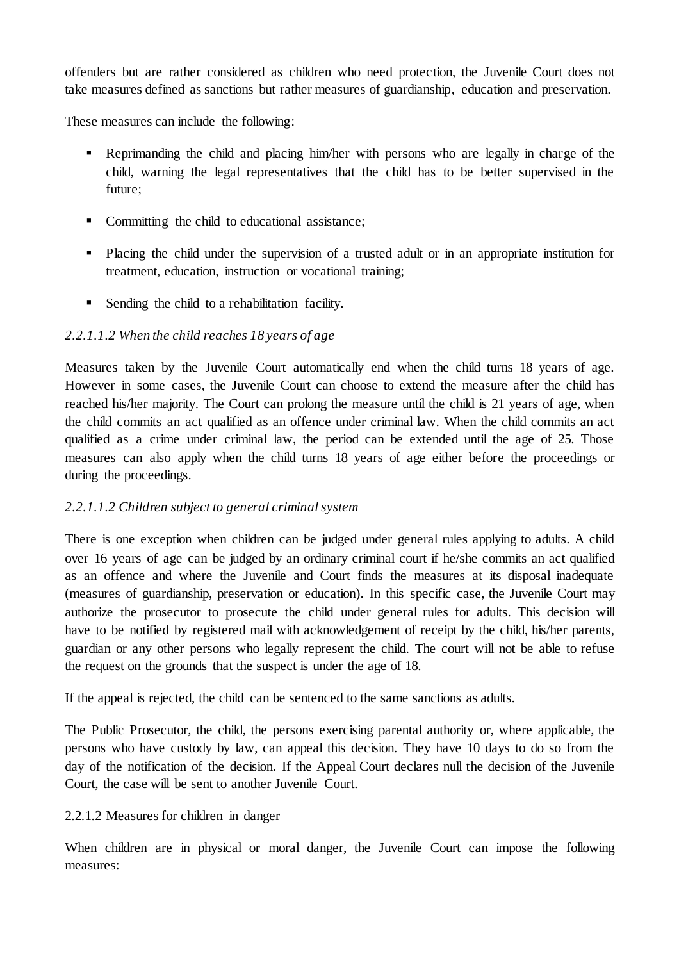offenders but are rather considered as children who need protection, the Juvenile Court does not take measures defined as sanctions but rather measures of guardianship, education and preservation.

These measures can include the following:

- Reprimanding the child and placing him/her with persons who are legally in charge of the child, warning the legal representatives that the child has to be better supervised in the future;
- Committing the child to educational assistance;
- Placing the child under the supervision of a trusted adult or in an appropriate institution for treatment, education, instruction or vocational training;
- Sending the child to a rehabilitation facility.

# *2.2.1.1.2 When the child reaches 18 years of age*

Measures taken by the Juvenile Court automatically end when the child turns 18 years of age. However in some cases, the Juvenile Court can choose to extend the measure after the child has reached his/her majority. The Court can prolong the measure until the child is 21 years of age, when the child commits an act qualified as an offence under criminal law. When the child commits an act qualified as a crime under criminal law, the period can be extended until the age of 25. Those measures can also apply when the child turns 18 years of age either before the proceedings or during the proceedings.

# *2.2.1.1.2 Children subject to general criminal system*

There is one exception when children can be judged under general rules applying to adults. A child over 16 years of age can be judged by an ordinary criminal court if he/she commits an act qualified as an offence and where the Juvenile and Court finds the measures at its disposal inadequate (measures of guardianship, preservation or education). In this specific case, the Juvenile Court may authorize the prosecutor to prosecute the child under general rules for adults. This decision will have to be notified by registered mail with acknowledgement of receipt by the child, his/her parents, guardian or any other persons who legally represent the child. The court will not be able to refuse the request on the grounds that the suspect is under the age of 18.

If the appeal is rejected, the child can be sentenced to the same sanctions as adults.

The Public Prosecutor, the child, the persons exercising parental authority or, where applicable, the persons who have custody by law, can appeal this decision. They have 10 days to do so from the day of the notification of the decision. If the Appeal Court declares null the decision of the Juvenile Court, the case will be sent to another Juvenile Court.

# 2.2.1.2 Measures for children in danger

When children are in physical or moral danger, the Juvenile Court can impose the following measures: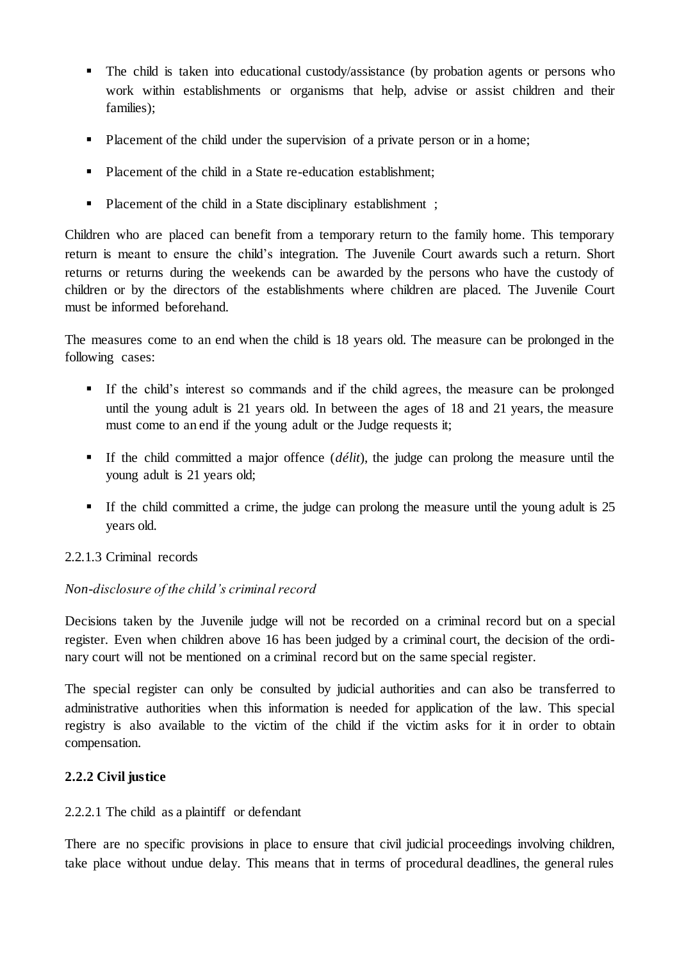- The child is taken into educational custody/assistance (by probation agents or persons who work within establishments or organisms that help, advise or assist children and their families);
- Placement of the child under the supervision of a private person or in a home;
- **Placement of the child in a State re-education establishment;**
- Placement of the child in a State disciplinary establishment;

Children who are placed can benefit from a temporary return to the family home. This temporary return is meant to ensure the child's integration. The Juvenile Court awards such a return. Short returns or returns during the weekends can be awarded by the persons who have the custody of children or by the directors of the establishments where children are placed. The Juvenile Court must be informed beforehand.

The measures come to an end when the child is 18 years old. The measure can be prolonged in the following cases:

- If the child's interest so commands and if the child agrees, the measure can be prolonged until the young adult is 21 years old. In between the ages of 18 and 21 years, the measure must come to an end if the young adult or the Judge requests it;
- If the child committed a major offence (*délit*), the judge can prolong the measure until the young adult is 21 years old;
- If the child committed a crime, the judge can prolong the measure until the young adult is  $25$ years old.

2.2.1.3 Criminal records

# *Non-disclosure of the child's criminal record*

Decisions taken by the Juvenile judge will not be recorded on a criminal record but on a special register. Even when children above 16 has been judged by a criminal court, the decision of the ordinary court will not be mentioned on a criminal record but on the same special register.

The special register can only be consulted by judicial authorities and can also be transferred to administrative authorities when this information is needed for application of the law. This special registry is also available to the victim of the child if the victim asks for it in order to obtain compensation.

# **2.2.2 Civil justice**

# 2.2.2.1 The child as a plaintiff or defendant

There are no specific provisions in place to ensure that civil judicial proceedings involving children, take place without undue delay. This means that in terms of procedural deadlines, the general rules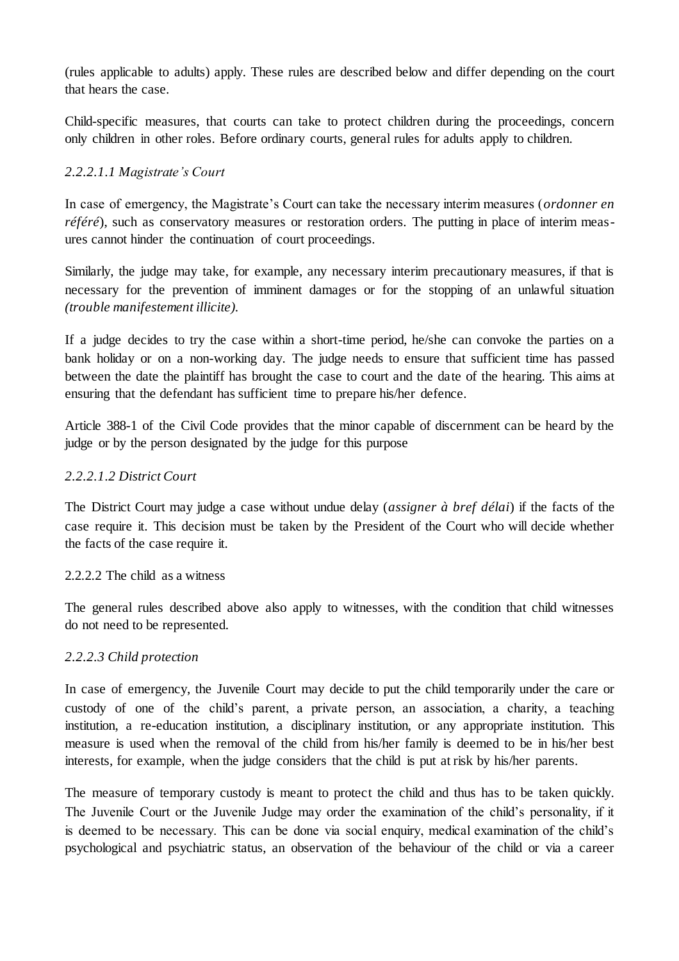(rules applicable to adults) apply. These rules are described below and differ depending on the court that hears the case.

Child-specific measures, that courts can take to protect children during the proceedings, concern only children in other roles. Before ordinary courts, general rules for adults apply to children.

# *2.2.2.1.1 Magistrate's Court*

In case of emergency, the Magistrate's Court can take the necessary interim measures (*ordonner en référé*), such as conservatory measures or restoration orders. The putting in place of interim measures cannot hinder the continuation of court proceedings.

Similarly, the judge may take, for example, any necessary interim precautionary measures, if that is necessary for the prevention of imminent damages or for the stopping of an unlawful situation *(trouble manifestement illicite).*

If a judge decides to try the case within a short-time period, he/she can convoke the parties on a bank holiday or on a non-working day. The judge needs to ensure that sufficient time has passed between the date the plaintiff has brought the case to court and the date of the hearing. This aims at ensuring that the defendant has sufficient time to prepare his/her defence.

Article 388-1 of the Civil Code provides that the minor capable of discernment can be heard by the judge or by the person designated by the judge for this purpose

### *2.2.2.1.2 District Court*

The District Court may judge a case without undue delay (*assigner à bref délai*) if the facts of the case require it. This decision must be taken by the President of the Court who will decide whether the facts of the case require it.

2.2.2.2 The child as a witness

The general rules described above also apply to witnesses, with the condition that child witnesses do not need to be represented.

### *2.2.2.3 Child protection*

In case of emergency, the Juvenile Court may decide to put the child temporarily under the care or custody of one of the child's parent, a private person, an association, a charity, a teaching institution, a re-education institution, a disciplinary institution, or any appropriate institution. This measure is used when the removal of the child from his/her family is deemed to be in his/her best interests, for example, when the judge considers that the child is put at risk by his/her parents.

The measure of temporary custody is meant to protect the child and thus has to be taken quickly. The Juvenile Court or the Juvenile Judge may order the examination of the child's personality, if it is deemed to be necessary. This can be done via social enquiry, medical examination of the child's psychological and psychiatric status, an observation of the behaviour of the child or via a career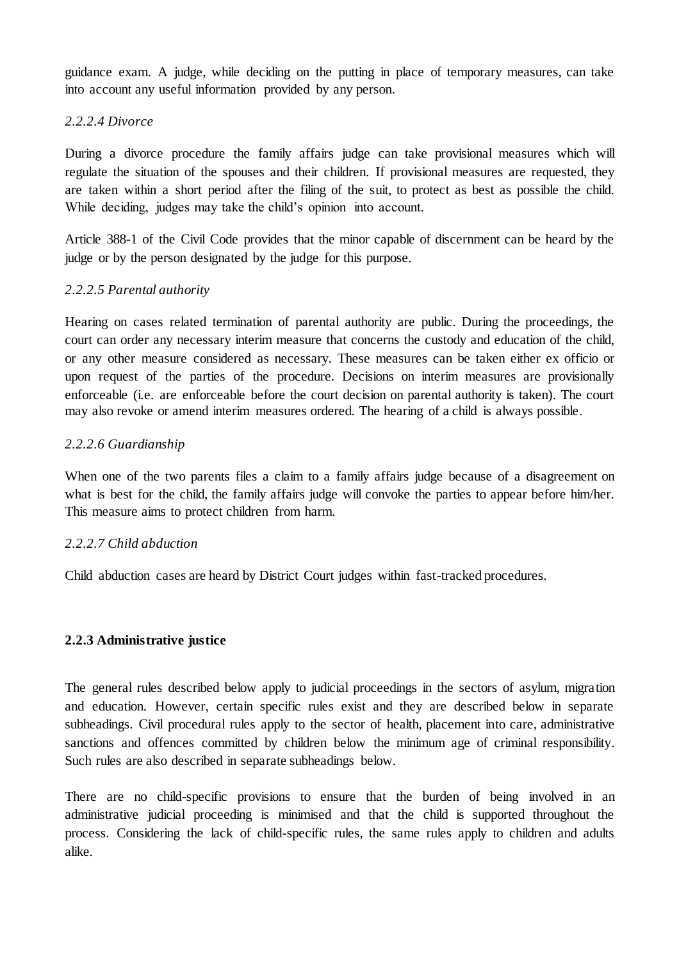guidance exam. A judge, while deciding on the putting in place of temporary measures, can take into account any useful information provided by any person.

## *2.2.2.4 Divorce*

During a divorce procedure the family affairs judge can take provisional measures which will regulate the situation of the spouses and their children. If provisional measures are requested, they are taken within a short period after the filing of the suit, to protect as best as possible the child. While deciding, judges may take the child's opinion into account.

Article 388-1 of the Civil Code provides that the minor capable of discernment can be heard by the judge or by the person designated by the judge for this purpose.

# *2.2.2.5 Parental authority*

Hearing on cases related termination of parental authority are public. During the proceedings, the court can order any necessary interim measure that concerns the custody and education of the child, or any other measure considered as necessary. These measures can be taken either ex officio or upon request of the parties of the procedure. Decisions on interim measures are provisionally enforceable (i.e. are enforceable before the court decision on parental authority is taken). The court may also revoke or amend interim measures ordered. The hearing of a child is always possible.

# *2.2.2.6 Guardianship*

When one of the two parents files a claim to a family affairs judge because of a disagreement on what is best for the child, the family affairs judge will convoke the parties to appear before him/her. This measure aims to protect children from harm.

### *2.2.2.7 Child abduction*

Child abduction cases are heard by District Court judges within fast-tracked procedures.

### **2.2.3 Administrative justice**

The general rules described below apply to judicial proceedings in the sectors of asylum, migration and education. However, certain specific rules exist and they are described below in separate subheadings. Civil procedural rules apply to the sector of health, placement into care, administrative sanctions and offences committed by children below the minimum age of criminal responsibility. Such rules are also described in separate subheadings below.

There are no child-specific provisions to ensure that the burden of being involved in an administrative judicial proceeding is minimised and that the child is supported throughout the process. Considering the lack of child-specific rules, the same rules apply to children and adults alike.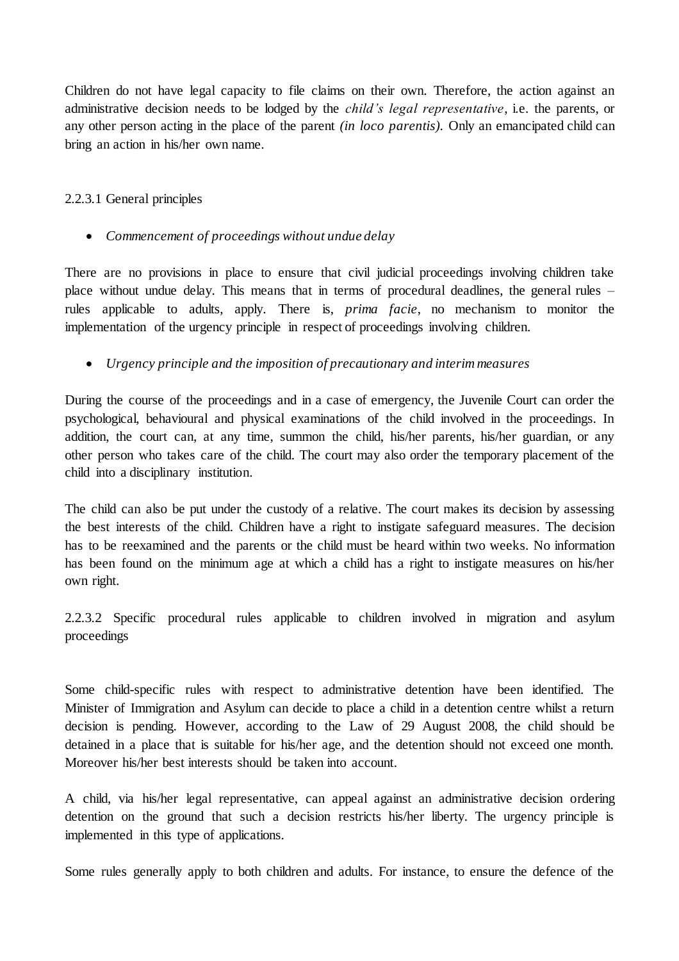Children do not have legal capacity to file claims on their own. Therefore, the action against an administrative decision needs to be lodged by the *child's legal representative*, i.e. the parents, or any other person acting in the place of the parent *(in loco parentis).* Only an emancipated child can bring an action in his/her own name.

# 2.2.3.1 General principles

*Commencement of proceedings without undue delay*

There are no provisions in place to ensure that civil judicial proceedings involving children take place without undue delay. This means that in terms of procedural deadlines, the general rules – rules applicable to adults, apply. There is, *prima facie*, no mechanism to monitor the implementation of the urgency principle in respect of proceedings involving children.

# *Urgency principle and the imposition of precautionary and interim measures*

During the course of the proceedings and in a case of emergency, the Juvenile Court can order the psychological, behavioural and physical examinations of the child involved in the proceedings. In addition, the court can, at any time, summon the child, his/her parents, his/her guardian, or any other person who takes care of the child. The court may also order the temporary placement of the child into a disciplinary institution.

The child can also be put under the custody of a relative. The court makes its decision by assessing the best interests of the child. Children have a right to instigate safeguard measures. The decision has to be reexamined and the parents or the child must be heard within two weeks. No information has been found on the minimum age at which a child has a right to instigate measures on his/her own right.

2.2.3.2 Specific procedural rules applicable to children involved in migration and asylum proceedings

Some child-specific rules with respect to administrative detention have been identified. The Minister of Immigration and Asylum can decide to place a child in a detention centre whilst a return decision is pending. However, according to the Law of 29 August 2008, the child should be detained in a place that is suitable for his/her age, and the detention should not exceed one month. Moreover his/her best interests should be taken into account.

A child, via his/her legal representative, can appeal against an administrative decision ordering detention on the ground that such a decision restricts his/her liberty. The urgency principle is implemented in this type of applications.

Some rules generally apply to both children and adults. For instance, to ensure the defence of the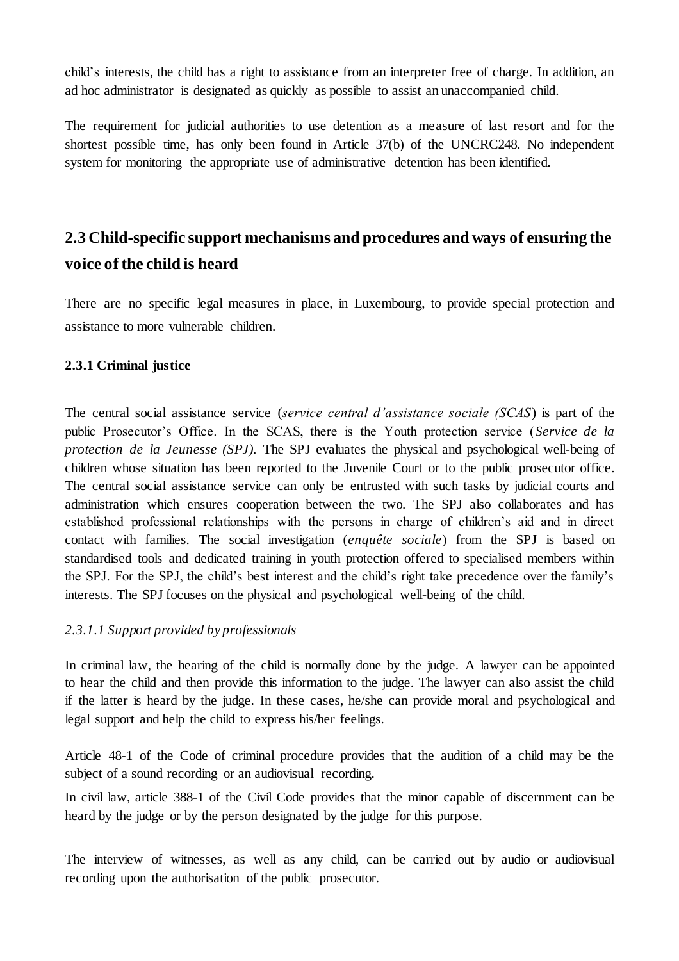child's interests, the child has a right to assistance from an interpreter free of charge. In addition, an ad hoc administrator is designated as quickly as possible to assist an unaccompanied child.

The requirement for judicial authorities to use detention as a measure of last resort and for the shortest possible time, has only been found in Article 37(b) of the UNCRC248. No independent system for monitoring the appropriate use of administrative detention has been identified.

# **2.3 Child-specific support mechanisms and procedures and ways of ensuring the voice of the child is heard**

There are no specific legal measures in place, in Luxembourg, to provide special protection and assistance to more vulnerable children.

### **2.3.1 Criminal justice**

The central social assistance service (*service central d'assistance sociale (SCAS*) is part of the public Prosecutor's Office. In the SCAS, there is the Youth protection service (*Service de la protection de la Jeunesse (SPJ).* The SPJ evaluates the physical and psychological well-being of children whose situation has been reported to the Juvenile Court or to the public prosecutor office. The central social assistance service can only be entrusted with such tasks by judicial courts and administration which ensures cooperation between the two. The SPJ also collaborates and has established professional relationships with the persons in charge of children's aid and in direct contact with families. The social investigation (*enquête sociale*) from the SPJ is based on standardised tools and dedicated training in youth protection offered to specialised members within the SPJ. For the SPJ, the child's best interest and the child's right take precedence over the family's interests. The SPJ focuses on the physical and psychological well-being of the child.

### *2.3.1.1 Support provided by professionals*

In criminal law, the hearing of the child is normally done by the judge. A lawyer can be appointed to hear the child and then provide this information to the judge. The lawyer can also assist the child if the latter is heard by the judge. In these cases, he/she can provide moral and psychological and legal support and help the child to express his/her feelings.

Article 48-1 of the Code of criminal procedure provides that the audition of a child may be the subject of a sound recording or an audiovisual recording.

In civil law, article 388-1 of the Civil Code provides that the minor capable of discernment can be heard by the judge or by the person designated by the judge for this purpose.

The interview of witnesses, as well as any child, can be carried out by audio or audiovisual recording upon the authorisation of the public prosecutor.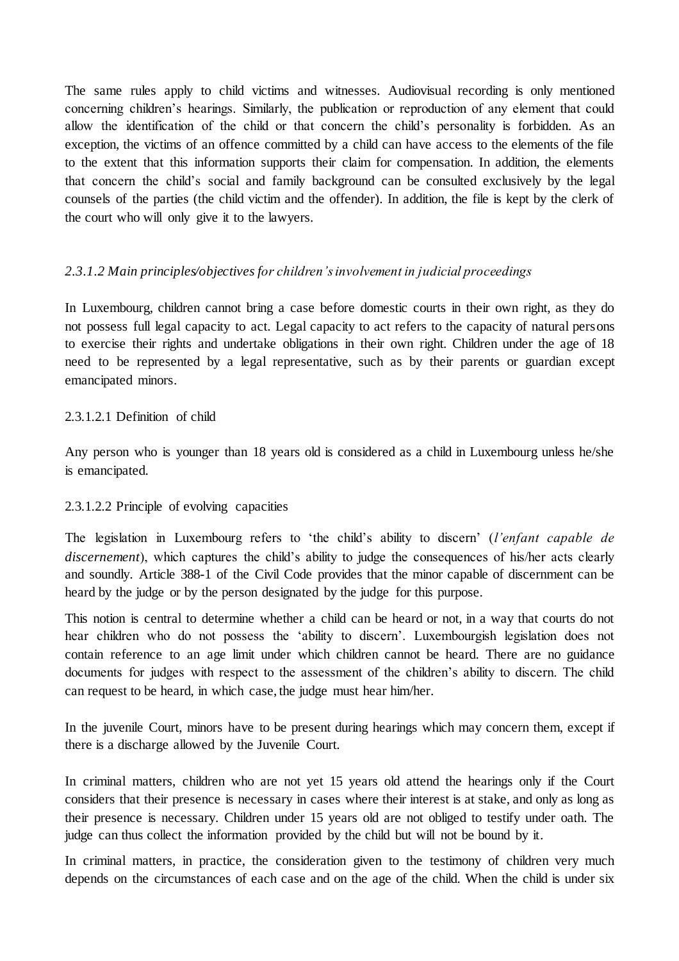The same rules apply to child victims and witnesses. Audiovisual recording is only mentioned concerning children's hearings. Similarly, the publication or reproduction of any element that could allow the identification of the child or that concern the child's personality is forbidden. As an exception, the victims of an offence committed by a child can have access to the elements of the file to the extent that this information supports their claim for compensation. In addition, the elements that concern the child's social and family background can be consulted exclusively by the legal counsels of the parties (the child victim and the offender). In addition, the file is kept by the clerk of the court who will only give it to the lawyers.

# *2.3.1.2 Main principles/objectives for children's involvement in judicial proceedings*

In Luxembourg, children cannot bring a case before domestic courts in their own right, as they do not possess full legal capacity to act. Legal capacity to act refers to the capacity of natural persons to exercise their rights and undertake obligations in their own right. Children under the age of 18 need to be represented by a legal representative, such as by their parents or guardian except emancipated minors.

# 2.3.1.2.1 Definition of child

Any person who is younger than 18 years old is considered as a child in Luxembourg unless he/she is emancipated.

# 2.3.1.2.2 Principle of evolving capacities

The legislation in Luxembourg refers to 'the child's ability to discern' (*l'enfant capable de discernement*), which captures the child's ability to judge the consequences of his/her acts clearly and soundly. Article 388-1 of the Civil Code provides that the minor capable of discernment can be heard by the judge or by the person designated by the judge for this purpose.

This notion is central to determine whether a child can be heard or not, in a way that courts do not hear children who do not possess the 'ability to discern'. Luxembourgish legislation does not contain reference to an age limit under which children cannot be heard. There are no guidance documents for judges with respect to the assessment of the children's ability to discern. The child can request to be heard, in which case, the judge must hear him/her.

In the juvenile Court, minors have to be present during hearings which may concern them, except if there is a discharge allowed by the Juvenile Court.

In criminal matters, children who are not yet 15 years old attend the hearings only if the Court considers that their presence is necessary in cases where their interest is at stake, and only as long as their presence is necessary. Children under 15 years old are not obliged to testify under oath. The judge can thus collect the information provided by the child but will not be bound by it.

In criminal matters, in practice, the consideration given to the testimony of children very much depends on the circumstances of each case and on the age of the child. When the child is under six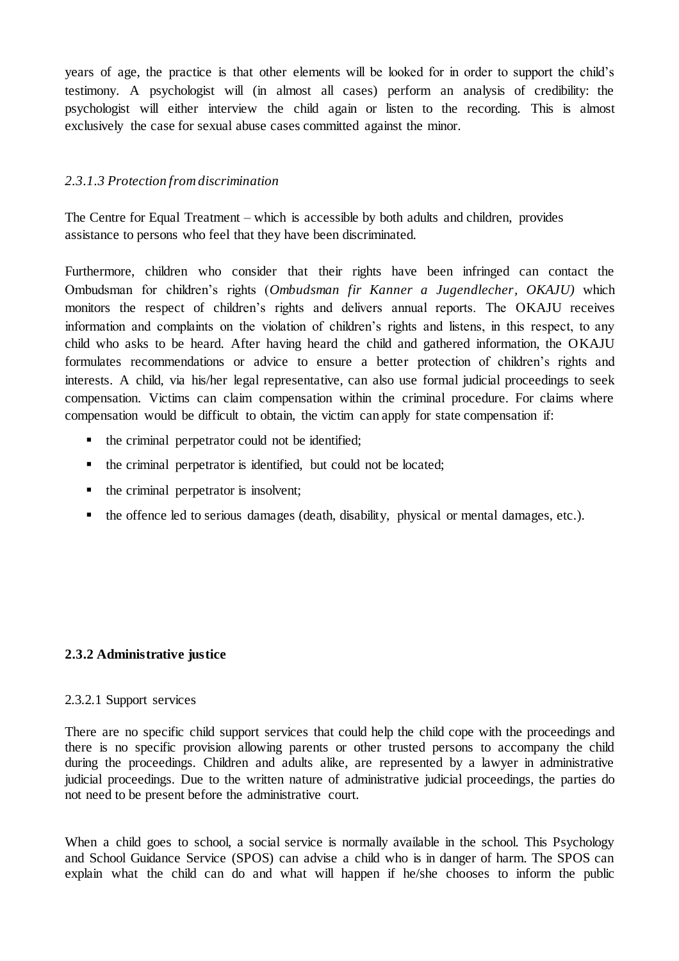years of age, the practice is that other elements will be looked for in order to support the child's testimony. A psychologist will (in almost all cases) perform an analysis of credibility: the psychologist will either interview the child again or listen to the recording. This is almost exclusively the case for sexual abuse cases committed against the minor.

## *2.3.1.3 Protection from discrimination*

The Centre for Equal Treatment – which is accessible by both adults and children, provides assistance to persons who feel that they have been discriminated.

Furthermore, children who consider that their rights have been infringed can contact the Ombudsman for children's rights (*Ombudsman fir Kanner a Jugendlecher, OKAJU)* which monitors the respect of children's rights and delivers annual reports. The OKAJU receives information and complaints on the violation of children's rights and listens, in this respect, to any child who asks to be heard. After having heard the child and gathered information, the OKAJU formulates recommendations or advice to ensure a better protection of children's rights and interests. A child, via his/her legal representative, can also use formal judicial proceedings to seek compensation. Victims can claim compensation within the criminal procedure. For claims where compensation would be difficult to obtain, the victim can apply for state compensation if:

- $\blacksquare$  the criminal perpetrator could not be identified;
- $\blacksquare$  the criminal perpetrator is identified, but could not be located;
- $\blacksquare$  the criminal perpetrator is insolvent;
- $\bullet$  the offence led to serious damages (death, disability, physical or mental damages, etc.).

### **2.3.2 Administrative justice**

#### 2.3.2.1 Support services

There are no specific child support services that could help the child cope with the proceedings and there is no specific provision allowing parents or other trusted persons to accompany the child during the proceedings. Children and adults alike, are represented by a lawyer in administrative judicial proceedings. Due to the written nature of administrative judicial proceedings, the parties do not need to be present before the administrative court.

When a child goes to school, a social service is normally available in the school. This Psychology and School Guidance Service (SPOS) can advise a child who is in danger of harm. The SPOS can explain what the child can do and what will happen if he/she chooses to inform the public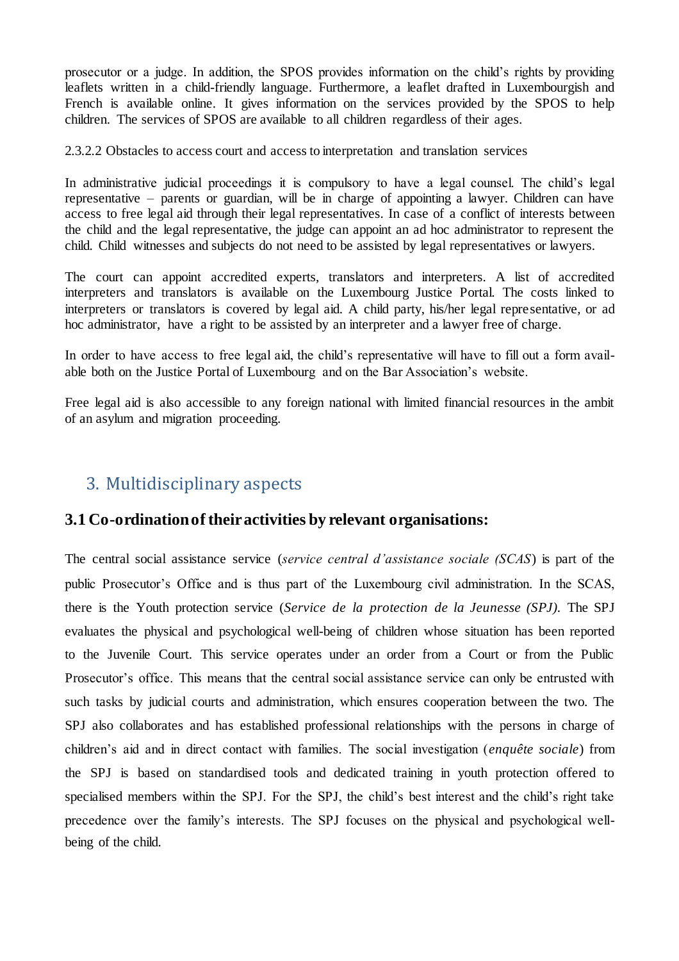prosecutor or a judge. In addition, the SPOS provides information on the child's rights by providing leaflets written in a child-friendly language. Furthermore, a leaflet drafted in Luxembourgish and French is available online. It gives information on the services provided by the SPOS to help children. The services of SPOS are available to all children regardless of their ages.

2.3.2.2 Obstacles to access court and access to interpretation and translation services

In administrative judicial proceedings it is compulsory to have a legal counsel. The child's legal representative – parents or guardian, will be in charge of appointing a lawyer. Children can have access to free legal aid through their legal representatives. In case of a conflict of interests between the child and the legal representative, the judge can appoint an ad hoc administrator to represent the child. Child witnesses and subjects do not need to be assisted by legal representatives or lawyers.

The court can appoint accredited experts, translators and interpreters. A list of accredited interpreters and translators is available on the Luxembourg Justice Portal. The costs linked to interpreters or translators is covered by legal aid. A child party, his/her legal representative, or ad hoc administrator, have a right to be assisted by an interpreter and a lawyer free of charge.

In order to have access to free legal aid, the child's representative will have to fill out a form available both on the Justice Portal of Luxembourg and on the Bar Association's website.

Free legal aid is also accessible to any foreign national with limited financial resources in the ambit of an asylum and migration proceeding.

# <span id="page-13-0"></span>3. Multidisciplinary aspects

# **3.1 Co-ordination of their activities by relevant organisations:**

The central social assistance service (*service central d'assistance sociale (SCAS*) is part of the public Prosecutor's Office and is thus part of the Luxembourg civil administration. In the SCAS, there is the Youth protection service (*Service de la protection de la Jeunesse (SPJ).* The SPJ evaluates the physical and psychological well-being of children whose situation has been reported to the Juvenile Court. This service operates under an order from a Court or from the Public Prosecutor's office. This means that the central social assistance service can only be entrusted with such tasks by judicial courts and administration, which ensures cooperation between the two. The SPJ also collaborates and has established professional relationships with the persons in charge of children's aid and in direct contact with families. The social investigation (*enquête sociale*) from the SPJ is based on standardised tools and dedicated training in youth protection offered to specialised members within the SPJ. For the SPJ, the child's best interest and the child's right take precedence over the family's interests. The SPJ focuses on the physical and psychological wellbeing of the child.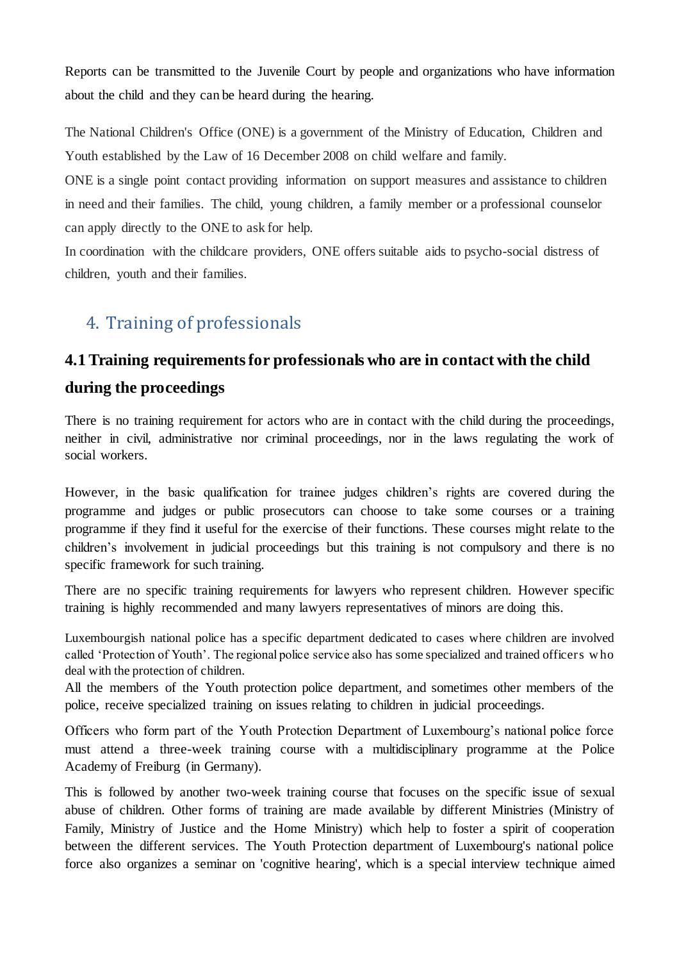Reports can be transmitted to the Juvenile Court by people and organizations who have information about the child and they can be heard during the hearing.

The National Children's Office (ONE) is a government of the Ministry of Education, Children and Youth established by the Law of 16 December 2008 on child welfare and family.

ONE is a single point contact providing information on support measures and assistance to children in need and their families. The child, young children, a family member or a professional counselor can apply directly to the ONE to ask for help.

In coordination with the childcare providers, ONE offers suitable aids to psycho-social distress of children, youth and their families.

# <span id="page-14-0"></span>4. Training of professionals

# **4.1Training requirements for professionals who are in contact with the child during the proceedings**

There is no training requirement for actors who are in contact with the child during the proceedings, neither in civil, administrative nor criminal proceedings, nor in the laws regulating the work of social workers.

However, in the basic qualification for trainee judges children's rights are covered during the programme and judges or public prosecutors can choose to take some courses or a training programme if they find it useful for the exercise of their functions. These courses might relate to the children's involvement in judicial proceedings but this training is not compulsory and there is no specific framework for such training.

There are no specific training requirements for lawyers who represent children. However specific training is highly recommended and many lawyers representatives of minors are doing this.

Luxembourgish national police has a specific department dedicated to cases where children are involved called 'Protection of Youth'. The regional police service also has some specialized and trained officers w ho deal with the protection of children.

All the members of the Youth protection police department, and sometimes other members of the police, receive specialized training on issues relating to children in judicial proceedings.

Officers who form part of the Youth Protection Department of Luxembourg's national police force must attend a three-week training course with a multidisciplinary programme at the Police Academy of Freiburg (in Germany).

This is followed by another two-week training course that focuses on the specific issue of sexual abuse of children. Other forms of training are made available by different Ministries (Ministry of Family, Ministry of Justice and the Home Ministry) which help to foster a spirit of cooperation between the different services. The Youth Protection department of Luxembourg's national police force also organizes a seminar on 'cognitive hearing', which is a special interview technique aimed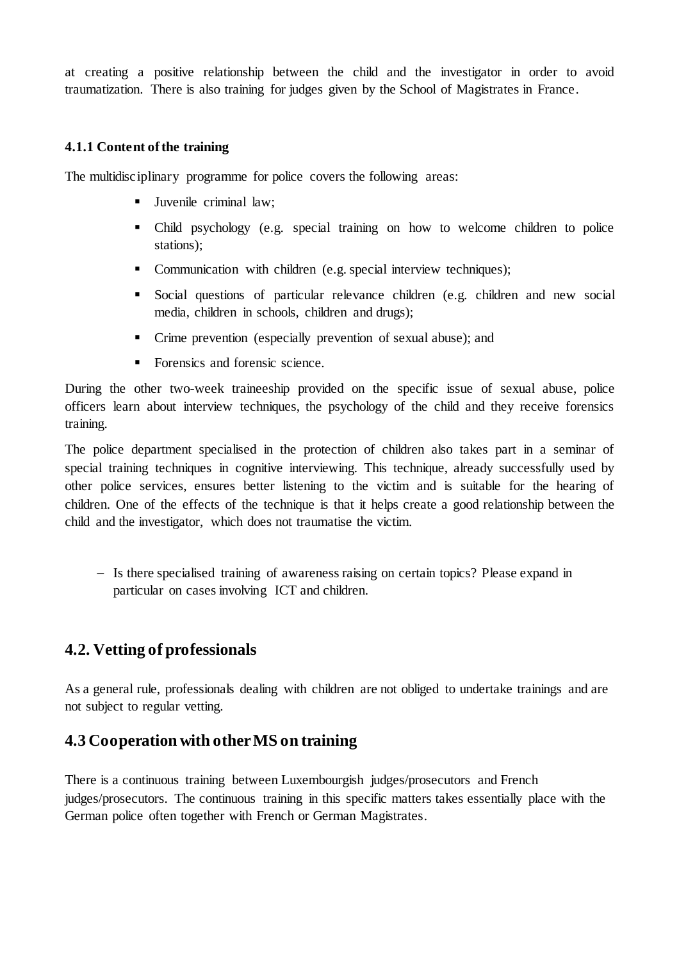at creating a positive relationship between the child and the investigator in order to avoid traumatization. There is also training for judges given by the School of Magistrates in France.

## **4.1.1 Content of the training**

The multidisciplinary programme for police covers the following areas:

- Uuvenile criminal law:
- Child psychology (e.g. special training on how to welcome children to police stations);
- Communication with children (e.g. special interview techniques);
- Social questions of particular relevance children (e.g. children and new social media, children in schools, children and drugs);
- Crime prevention (especially prevention of sexual abuse); and
- Forensics and forensic science.

During the other two-week traineeship provided on the specific issue of sexual abuse, police officers learn about interview techniques, the psychology of the child and they receive forensics training.

The police department specialised in the protection of children also takes part in a seminar of special training techniques in cognitive interviewing. This technique, already successfully used by other police services, ensures better listening to the victim and is suitable for the hearing of children. One of the effects of the technique is that it helps create a good relationship between the child and the investigator, which does not traumatise the victim.

- Is there specialised training of awareness raising on certain topics? Please expand in particular on cases involving ICT and children.

# **4.2. Vetting of professionals**

As a general rule, professionals dealing with children are not obliged to undertake trainings and are not subject to regular vetting.

# **4.3 Cooperation with other MS on training**

There is a continuous training between Luxembourgish judges/prosecutors and French judges/prosecutors. The continuous training in this specific matters takes essentially place with the German police often together with French or German Magistrates.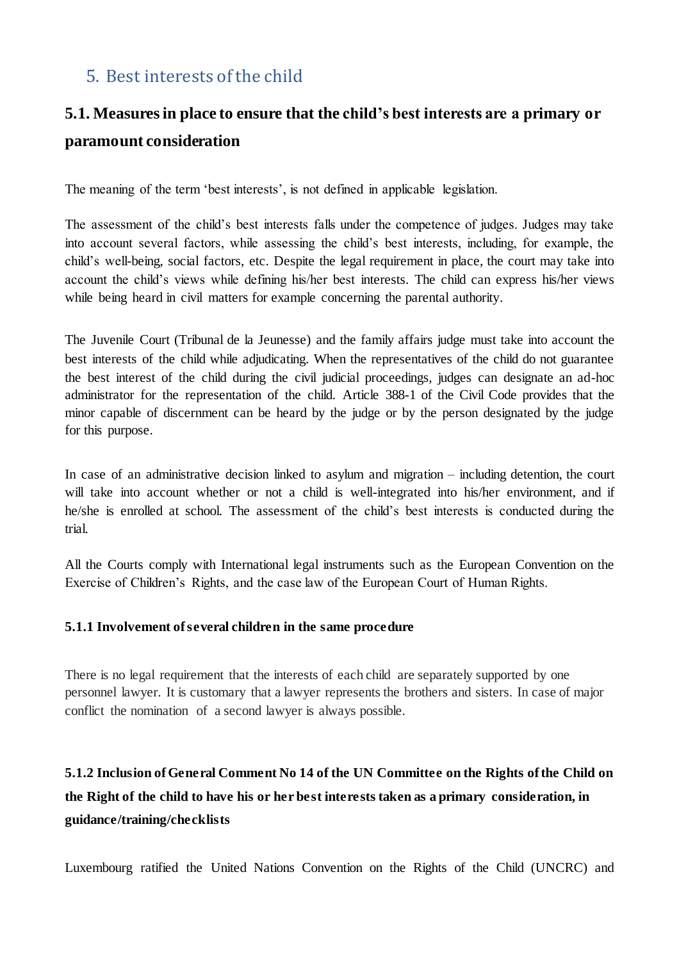# <span id="page-16-0"></span>5. Best interests of the child

# **5.1. Measures in place to ensure that the child's best interests are a primary or paramount consideration**

The meaning of the term 'best interests', is not defined in applicable legislation.

The assessment of the child's best interests falls under the competence of judges. Judges may take into account several factors, while assessing the child's best interests, including, for example, the child's well-being, social factors, etc. Despite the legal requirement in place, the court may take into account the child's views while defining his/her best interests. The child can express his/her views while being heard in civil matters for example concerning the parental authority.

The Juvenile Court (Tribunal de la Jeunesse) and the family affairs judge must take into account the best interests of the child while adjudicating. When the representatives of the child do not guarantee the best interest of the child during the civil judicial proceedings, judges can designate an ad-hoc administrator for the representation of the child. Article 388-1 of the Civil Code provides that the minor capable of discernment can be heard by the judge or by the person designated by the judge for this purpose.

In case of an administrative decision linked to asylum and migration – including detention, the court will take into account whether or not a child is well-integrated into his/her environment, and if he/she is enrolled at school. The assessment of the child's best interests is conducted during the trial.

All the Courts comply with International legal instruments such as the European Convention on the Exercise of Children's Rights, and the case law of the European Court of Human Rights.

# **5.1.1 Involvement of several children in the same procedure**

There is no legal requirement that the interests of each child are separately supported by one personnel lawyer. It is customary that a lawyer represents the brothers and sisters. In case of major conflict the nomination of a second lawyer is always possible.

# **5.1.2 Inclusion o[fGeneral Comment No 14 of the UN Committee on the Rights of the Child on](http://www2.ohchr.org/English/bodies/crc/docs/GC/CRC_C_GC_14_ENG.pdf)  [the Right of the child to have his or her best interests taken as a primary consideratio](http://www2.ohchr.org/English/bodies/crc/docs/GC/CRC_C_GC_14_ENG.pdf)n, in guidance/training/checklists**

Luxembourg ratified the United Nations Convention on the Rights of the Child (UNCRC) and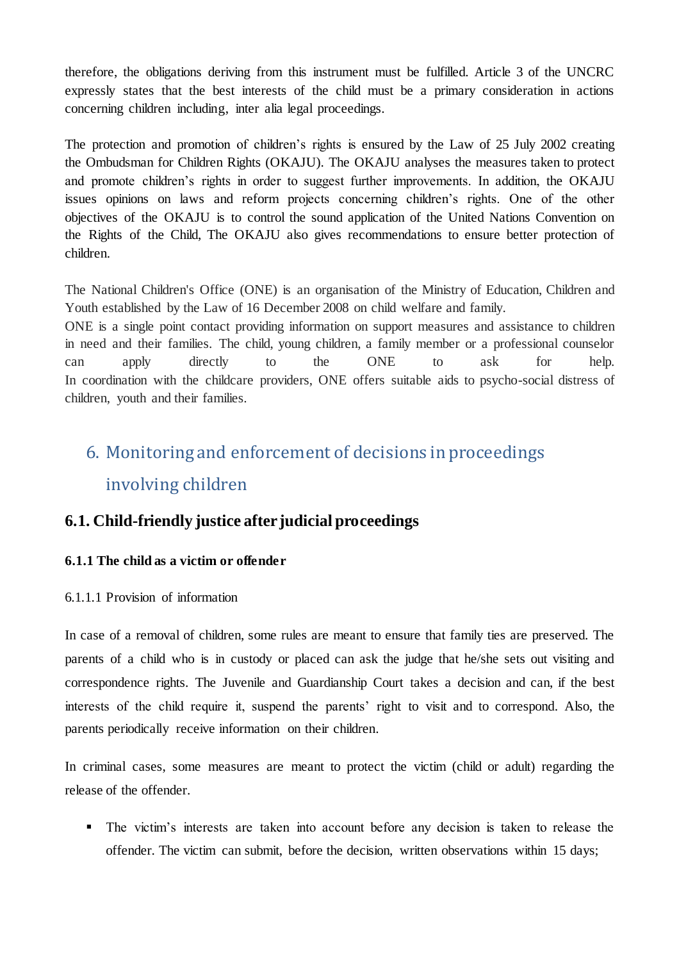therefore, the obligations deriving from this instrument must be fulfilled. Article 3 of the UNCRC expressly states that the best interests of the child must be a primary consideration in actions concerning children including, inter alia legal proceedings.

The protection and promotion of children's rights is ensured by the Law of 25 July 2002 creating the Ombudsman for Children Rights (OKAJU). The OKAJU analyses the measures taken to protect and promote children's rights in order to suggest further improvements. In addition, the OKAJU issues opinions on laws and reform projects concerning children's rights. One of the other objectives of the OKAJU is to control the sound application of the United Nations Convention on the Rights of the Child, The OKAJU also gives recommendations to ensure better protection of children.

The National Children's Office (ONE) is an organisation of the Ministry of Education, Children and Youth established by the Law of 16 December 2008 on child welfare and family.

ONE is a single point contact providing information on support measures and assistance to children in need and their families. The child, young children, a family member or a professional counselor can apply directly to the ONE to ask for help. In coordination with the childcare providers, ONE offers suitable aids to psycho-social distress of children, youth and their families.

# <span id="page-17-0"></span>6. Monitoring and enforcement of decisions in proceedings involving children

# **6.1. Child-friendly justice after judicial proceedings**

# **6.1.1 The child as a victim or offender**

# 6.1.1.1 Provision of information

In case of a removal of children, some rules are meant to ensure that family ties are preserved. The parents of a child who is in custody or placed can ask the judge that he/she sets out visiting and correspondence rights. The Juvenile and Guardianship Court takes a decision and can, if the best interests of the child require it, suspend the parents' right to visit and to correspond. Also, the parents periodically receive information on their children.

In criminal cases, some measures are meant to protect the victim (child or adult) regarding the release of the offender.

 The victim's interests are taken into account before any decision is taken to release the offender. The victim can submit, before the decision, written observations within 15 days;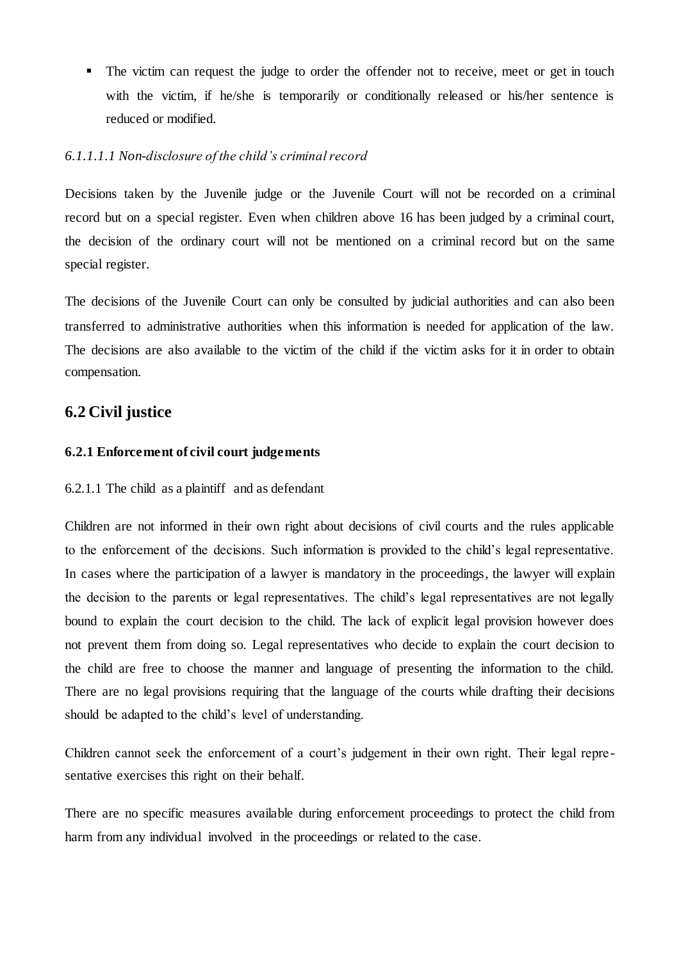• The victim can request the judge to order the offender not to receive, meet or get in touch with the victim, if he/she is temporarily or conditionally released or his/her sentence is reduced or modified.

## *6.1.1.1.1 Non-disclosure of the child's criminal record*

Decisions taken by the Juvenile judge or the Juvenile Court will not be recorded on a criminal record but on a special register. Even when children above 16 has been judged by a criminal court, the decision of the ordinary court will not be mentioned on a criminal record but on the same special register.

The decisions of the Juvenile Court can only be consulted by judicial authorities and can also been transferred to administrative authorities when this information is needed for application of the law. The decisions are also available to the victim of the child if the victim asks for it in order to obtain compensation.

# **6.2 Civil justice**

### **6.2.1 Enforcement of civil court judgements**

### 6.2.1.1 The child as a plaintiff and as defendant

Children are not informed in their own right about decisions of civil courts and the rules applicable to the enforcement of the decisions. Such information is provided to the child's legal representative. In cases where the participation of a lawyer is mandatory in the proceedings, the lawyer will explain the decision to the parents or legal representatives. The child's legal representatives are not legally bound to explain the court decision to the child. The lack of explicit legal provision however does not prevent them from doing so. Legal representatives who decide to explain the court decision to the child are free to choose the manner and language of presenting the information to the child. There are no legal provisions requiring that the language of the courts while drafting their decisions should be adapted to the child's level of understanding.

Children cannot seek the enforcement of a court's judgement in their own right. Their legal representative exercises this right on their behalf.

There are no specific measures available during enforcement proceedings to protect the child from harm from any individual involved in the proceedings or related to the case.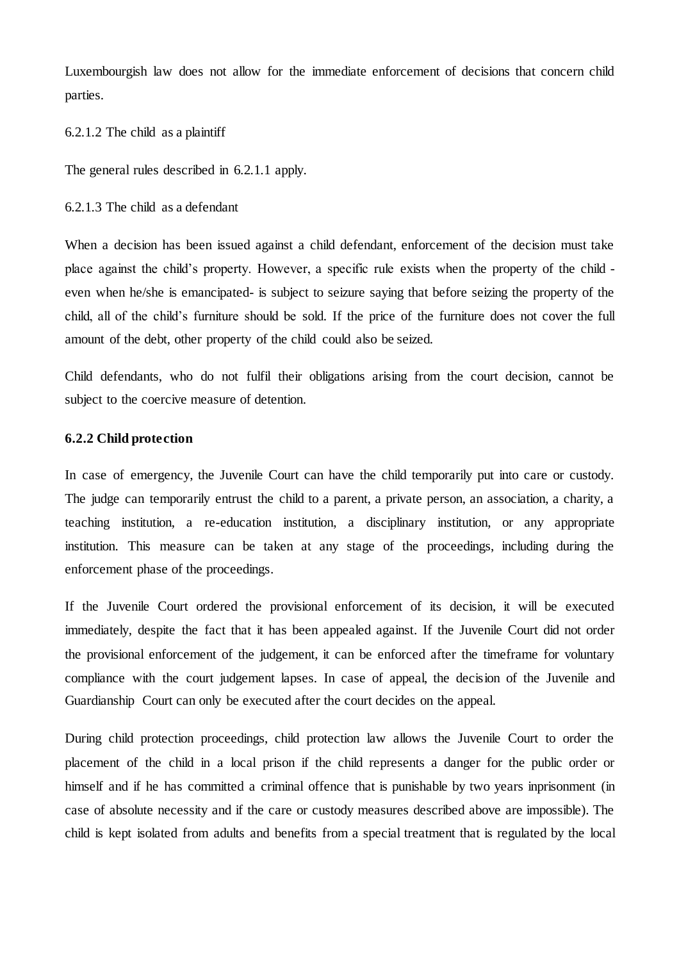Luxembourgish law does not allow for the immediate enforcement of decisions that concern child parties.

6.2.1.2 The child as a plaintiff

The general rules described in 6.2.1.1 apply.

6.2.1.3 The child as a defendant

When a decision has been issued against a child defendant, enforcement of the decision must take place against the child's property. However, a specific rule exists when the property of the child even when he/she is emancipated- is subject to seizure saying that before seizing the property of the child, all of the child's furniture should be sold. If the price of the furniture does not cover the full amount of the debt, other property of the child could also be seized.

Child defendants, who do not fulfil their obligations arising from the court decision, cannot be subject to the coercive measure of detention.

#### **6.2.2 Child protection**

In case of emergency, the Juvenile Court can have the child temporarily put into care or custody. The judge can temporarily entrust the child to a parent, a private person, an association, a charity, a teaching institution, a re-education institution, a disciplinary institution, or any appropriate institution. This measure can be taken at any stage of the proceedings, including during the enforcement phase of the proceedings.

If the Juvenile Court ordered the provisional enforcement of its decision, it will be executed immediately, despite the fact that it has been appealed against. If the Juvenile Court did not order the provisional enforcement of the judgement, it can be enforced after the timeframe for voluntary compliance with the court judgement lapses. In case of appeal, the decision of the Juvenile and Guardianship Court can only be executed after the court decides on the appeal.

During child protection proceedings, child protection law allows the Juvenile Court to order the placement of the child in a local prison if the child represents a danger for the public order or himself and if he has committed a criminal offence that is punishable by two years inprisonment (in case of absolute necessity and if the care or custody measures described above are impossible). The child is kept isolated from adults and benefits from a special treatment that is regulated by the local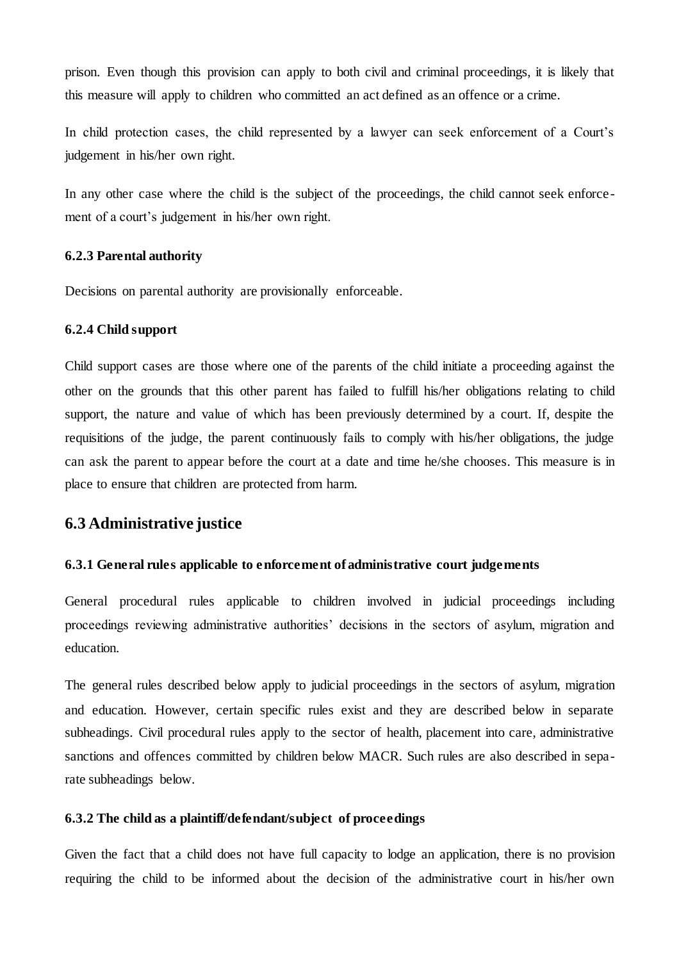prison. Even though this provision can apply to both civil and criminal proceedings, it is likely that this measure will apply to children who committed an act defined as an offence or a crime.

In child protection cases, the child represented by a lawyer can seek enforcement of a Court's judgement in his/her own right.

In any other case where the child is the subject of the proceedings, the child cannot seek enforcement of a court's judgement in his/her own right.

#### **6.2.3 Parental authority**

Decisions on parental authority are provisionally enforceable.

#### **6.2.4 Child support**

Child support cases are those where one of the parents of the child initiate a proceeding against the other on the grounds that this other parent has failed to fulfill his/her obligations relating to child support, the nature and value of which has been previously determined by a court. If, despite the requisitions of the judge, the parent continuously fails to comply with his/her obligations, the judge can ask the parent to appear before the court at a date and time he/she chooses. This measure is in place to ensure that children are protected from harm.

### **6.3 Administrative justice**

#### **6.3.1 General rules applicable to enforcement of administrative court judgements**

General procedural rules applicable to children involved in judicial proceedings including proceedings reviewing administrative authorities' decisions in the sectors of asylum, migration and education.

The general rules described below apply to judicial proceedings in the sectors of asylum, migration and education. However, certain specific rules exist and they are described below in separate subheadings. Civil procedural rules apply to the sector of health, placement into care, administrative sanctions and offences committed by children below MACR. Such rules are also described in separate subheadings below.

#### **6.3.2 The child as a plaintiff/defendant/subject of proceedings**

Given the fact that a child does not have full capacity to lodge an application, there is no provision requiring the child to be informed about the decision of the administrative court in his/her own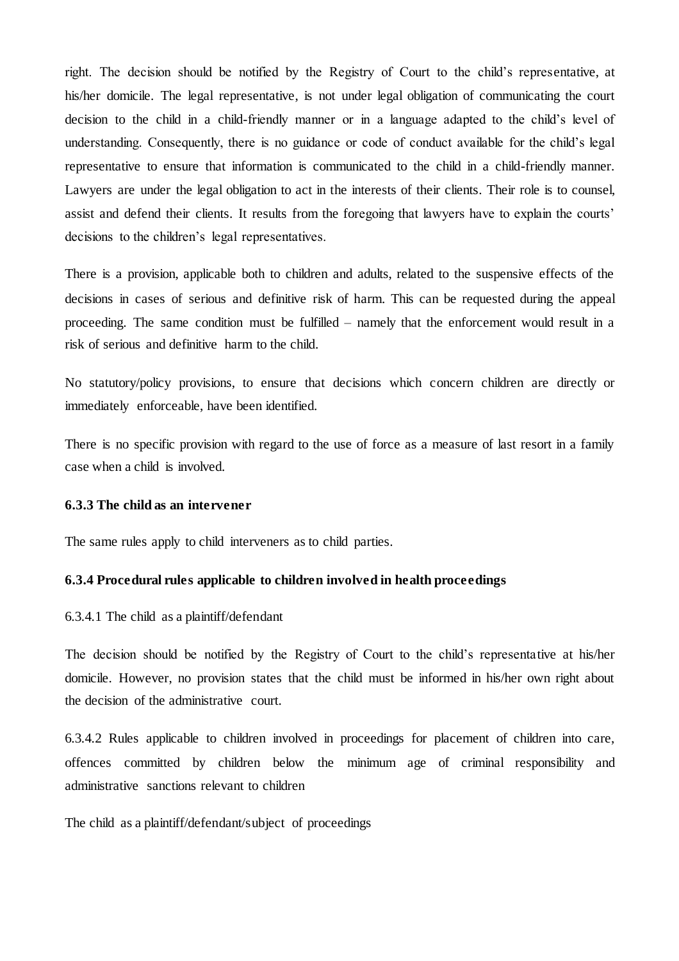right. The decision should be notified by the Registry of Court to the child's representative, at his/her domicile. The legal representative, is not under legal obligation of communicating the court decision to the child in a child-friendly manner or in a language adapted to the child's level of understanding. Consequently, there is no guidance or code of conduct available for the child's legal representative to ensure that information is communicated to the child in a child-friendly manner. Lawyers are under the legal obligation to act in the interests of their clients. Their role is to counsel, assist and defend their clients. It results from the foregoing that lawyers have to explain the courts' decisions to the children's legal representatives.

There is a provision, applicable both to children and adults, related to the suspensive effects of the decisions in cases of serious and definitive risk of harm. This can be requested during the appeal proceeding. The same condition must be fulfilled – namely that the enforcement would result in a risk of serious and definitive harm to the child.

No statutory/policy provisions, to ensure that decisions which concern children are directly or immediately enforceable, have been identified.

There is no specific provision with regard to the use of force as a measure of last resort in a family case when a child is involved.

#### **6.3.3 The child as an intervener**

The same rules apply to child interveners as to child parties.

#### **6.3.4 Procedural rules applicable to children involved in health proceedings**

6.3.4.1 The child as a plaintiff/defendant

The decision should be notified by the Registry of Court to the child's representative at his/her domicile. However, no provision states that the child must be informed in his/her own right about the decision of the administrative court.

6.3.4.2 Rules applicable to children involved in proceedings for placement of children into care, offences committed by children below the minimum age of criminal responsibility and administrative sanctions relevant to children

The child as a plaintiff/defendant/subject of proceedings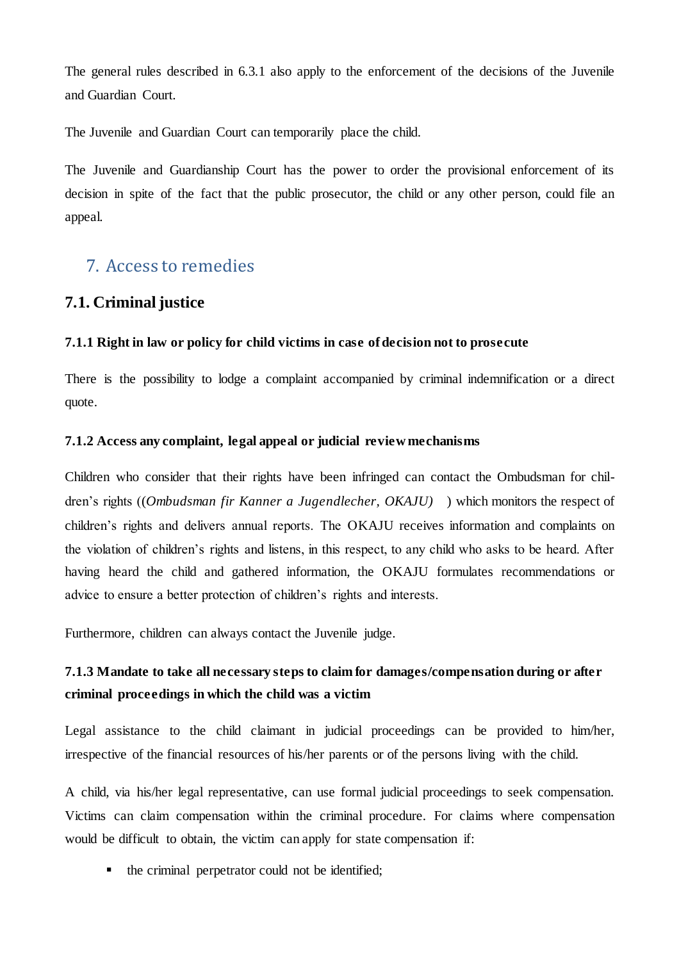The general rules described in 6.3.1 also apply to the enforcement of the decisions of the Juvenile and Guardian Court.

The Juvenile and Guardian Court can temporarily place the child.

The Juvenile and Guardianship Court has the power to order the provisional enforcement of its decision in spite of the fact that the public prosecutor, the child or any other person, could file an appeal.

# <span id="page-22-0"></span>7. Access to remedies

# **7.1. Criminal justice**

# **7.1.1 Right in law or policy for child victims in case of decision not to prosecute**

There is the possibility to lodge a complaint accompanied by criminal indemnification or a direct quote.

### **7.1.2 Access any complaint, legal appeal or judicial review mechanisms**

Children who consider that their rights have been infringed can contact the Ombudsman for children's rights ((*Ombudsman fir Kanner a Jugendlecher, OKAJU)* ) which monitors the respect of children's rights and delivers annual reports. The OKAJU receives information and complaints on the violation of children's rights and listens, in this respect, to any child who asks to be heard. After having heard the child and gathered information, the OKAJU formulates recommendations or advice to ensure a better protection of children's rights and interests.

Furthermore, children can always contact the Juvenile judge.

# **7.1.3 Mandate to take all necessary steps to claim for damages/compensation during or after criminal proceedings in which the child was a victim**

Legal assistance to the child claimant in judicial proceedings can be provided to him/her, irrespective of the financial resources of his/her parents or of the persons living with the child.

A child, via his/her legal representative, can use formal judicial proceedings to seek compensation. Victims can claim compensation within the criminal procedure. For claims where compensation would be difficult to obtain, the victim can apply for state compensation if:

 $\blacksquare$  the criminal perpetrator could not be identified;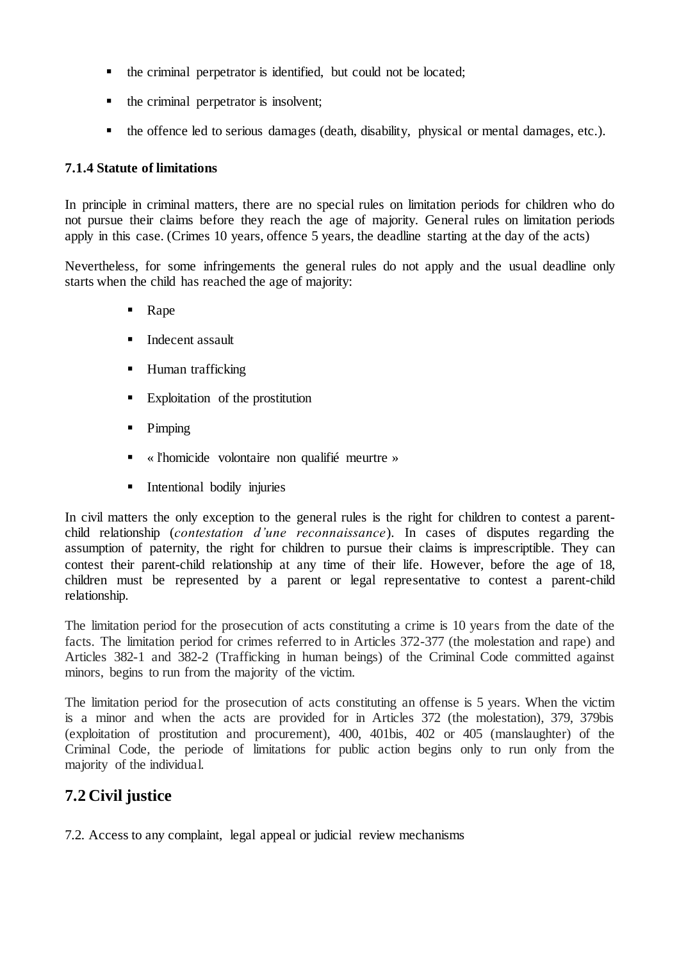- the criminal perpetrator is identified, but could not be located;
- the criminal perpetrator is insolvent;
- the offence led to serious damages (death, disability, physical or mental damages, etc.).

## **7.1.4 Statute of limitations**

In principle in criminal matters, there are no special rules on limitation periods for children who do not pursue their claims before they reach the age of majority. General rules on limitation periods apply in this case. (Crimes 10 years, offence 5 years, the deadline starting at the day of the acts)

Nevertheless, for some infringements the general rules do not apply and the usual deadline only starts when the child has reached the age of majority:

- Rape
- $\blacksquare$  Indecent assault
- **Human** trafficking
- **Exploitation** of the prostitution
- Pimping
- « l'homicide volontaire non qualifié meurtre »
- **Intentional bodily injuries**

In civil matters the only exception to the general rules is the right for children to contest a parentchild relationship (*contestation d'une reconnaissance*). In cases of disputes regarding the assumption of paternity, the right for children to pursue their claims is imprescriptible. They can contest their parent-child relationship at any time of their life. However, before the age of 18, children must be represented by a parent or legal representative to contest a parent-child relationship.

The limitation period for the prosecution of acts constituting a crime is 10 years from the date of the facts. The limitation period for crimes referred to in Articles 372-377 (the molestation and rape) and Articles 382-1 and 382-2 (Trafficking in human beings) of the Criminal Code committed against minors, begins to run from the majority of the victim.

The limitation period for the prosecution of acts constituting an offense is 5 years. When the victim is a minor and when the acts are provided for in Articles 372 (the molestation), 379, 379bis (exploitation of prostitution and procurement), 400, 401bis, 402 or 405 (manslaughter) of the Criminal Code, the periode of limitations for public action begins only to run only from the majority of the individual.

# **7.2 Civil justice**

7.2. Access to any complaint, legal appeal or judicial review mechanisms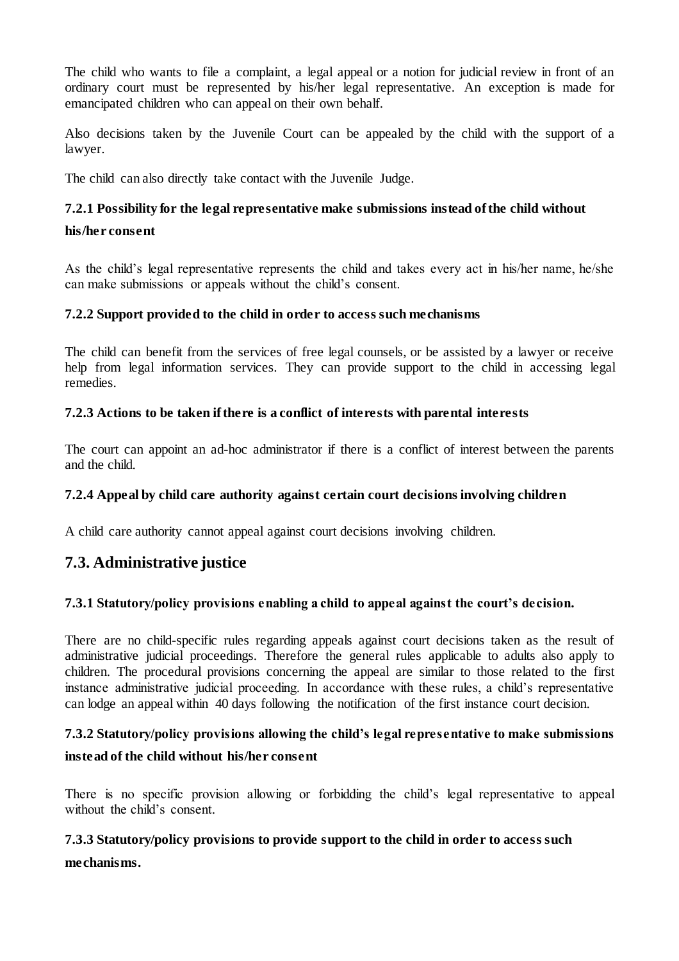The child who wants to file a complaint, a legal appeal or a notion for judicial review in front of an ordinary court must be represented by his/her legal representative. An exception is made for emancipated children who can appeal on their own behalf.

Also decisions taken by the Juvenile Court can be appealed by the child with the support of a lawyer.

The child can also directly take contact with the Juvenile Judge.

# **7.2.1 Possibility for the legal representative make submissions instead of the child without**

### **his/her consent**

As the child's legal representative represents the child and takes every act in his/her name, he/she can make submissions or appeals without the child's consent.

# **7.2.2 Support provided to the child in order to access such mechanisms**

The child can benefit from the services of free legal counsels, or be assisted by a lawyer or receive help from legal information services. They can provide support to the child in accessing legal remedies.

# **7.2.3 Actions to be taken if there is a conflict of interests with parental interests**

The court can appoint an ad-hoc administrator if there is a conflict of interest between the parents and the child.

# **7.2.4 Appeal by child care authority against certain court decisions involving children**

A child care authority cannot appeal against court decisions involving children.

# **7.3. Administrative justice**

# **7.3.1 Statutory/policy provisions enabling a child to appeal against the court's decision.**

There are no child-specific rules regarding appeals against court decisions taken as the result of administrative judicial proceedings. Therefore the general rules applicable to adults also apply to children. The procedural provisions concerning the appeal are similar to those related to the first instance administrative judicial proceeding. In accordance with these rules, a child's representative can lodge an appeal within 40 days following the notification of the first instance court decision.

# **7.3.2 Statutory/policy provisions allowing the child's legal representative to make submissions instead of the child without his/her consent**

There is no specific provision allowing or forbidding the child's legal representative to appeal without the child's consent.

# **7.3.3 Statutory/policy provisions to provide support to the child in order to access such**

# **mechanisms.**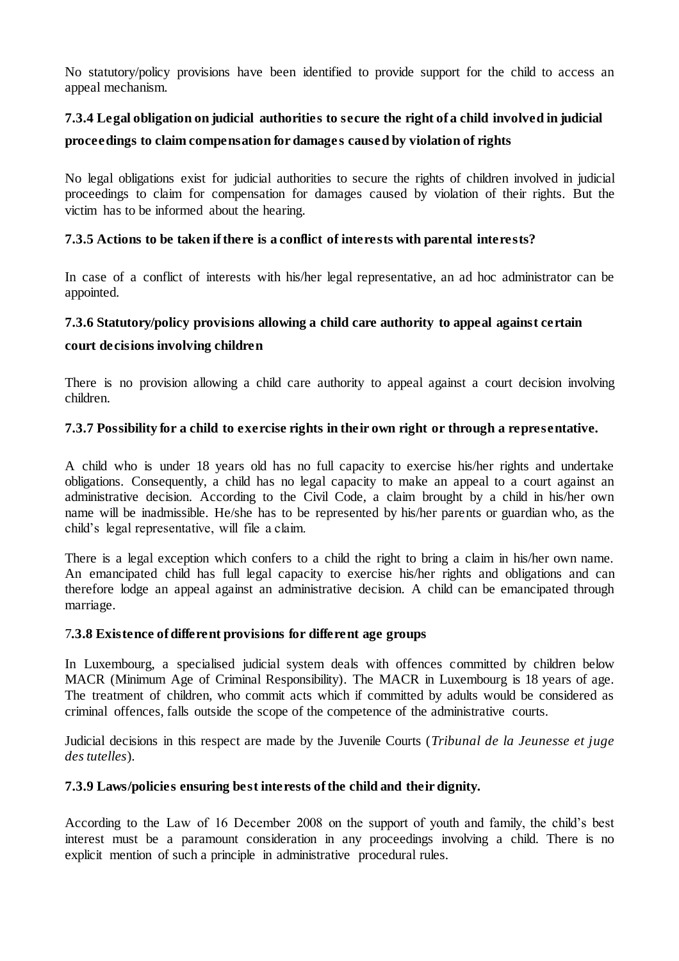No statutory/policy provisions have been identified to provide support for the child to access an appeal mechanism.

# **7.3.4 Legal obligation on judicial authorities to secure the right of a child involved in judicial**

# **proceedings to claim compensation for damage s caused by violation of rights**

No legal obligations exist for judicial authorities to secure the rights of children involved in judicial proceedings to claim for compensation for damages caused by violation of their rights. But the victim has to be informed about the hearing.

## **7.3.5 Actions to be taken if there is a conflict of interests with parental interests?**

In case of a conflict of interests with his/her legal representative, an ad hoc administrator can be appointed.

### **7.3.6 Statutory/policy provisions allowing a child care authority to appeal against certain**

### **court decisions involving children**

There is no provision allowing a child care authority to appeal against a court decision involving children.

### **7.3.7 Possibility for a child to exercise rights in their own right or through a representative.**

A child who is under 18 years old has no full capacity to exercise his/her rights and undertake obligations. Consequently, a child has no legal capacity to make an appeal to a court against an administrative decision. According to the Civil Code, a claim brought by a child in his/her own name will be inadmissible. He/she has to be represented by his/her parents or guardian who, as the child's legal representative, will file a claim.

There is a legal exception which confers to a child the right to bring a claim in his/her own name. An emancipated child has full legal capacity to exercise his/her rights and obligations and can therefore lodge an appeal against an administrative decision. A child can be emancipated through marriage.

### 7**.3.8 Existence of different provisions for different age groups**

In Luxembourg, a specialised judicial system deals with offences committed by children below MACR (Minimum Age of Criminal Responsibility). The MACR in Luxembourg is 18 years of age. The treatment of children, who commit acts which if committed by adults would be considered as criminal offences, falls outside the scope of the competence of the administrative courts.

Judicial decisions in this respect are made by the Juvenile Courts (*Tribunal de la Jeunesse et juge des tutelles*).

### **7.3.9 Laws/policies ensuring best interests of the child and their dignity.**

According to the Law of 16 December 2008 on the support of youth and family, the child's best interest must be a paramount consideration in any proceedings involving a child. There is no explicit mention of such a principle in administrative procedural rules.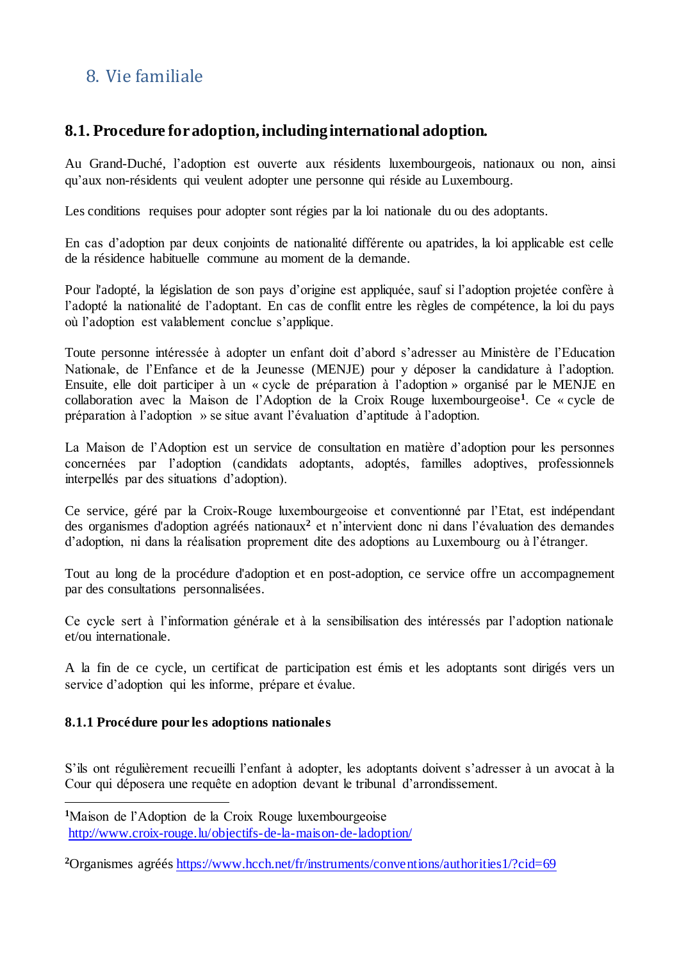# <span id="page-26-0"></span>8. Vie familiale

# **8.1. Procedure for adoption, including international adoption.**

Au Grand-Duché, l'adoption est ouverte aux résidents luxembourgeois, nationaux ou non, ainsi qu'aux non-résidents qui veulent adopter une personne qui réside au Luxembourg.

Les conditions requises pour adopter sont régies par la loi nationale du ou des adoptants.

En cas d'adoption par deux conjoints de nationalité différente ou apatrides, la loi applicable est celle de la résidence habituelle commune au moment de la demande.

Pour l'adopté, la législation de son pays d'origine est appliquée, sauf si l'adoption projetée confère à l'adopté la nationalité de l'adoptant. En cas de conflit entre les règles de compétence, la loi du pays où l'adoption est valablement conclue s'applique.

Toute personne intéressée à adopter un enfant doit d'abord s'adresser au Ministère de l'Education Nationale, de l'Enfance et de la Jeunesse (MENJE) pour y déposer la candidature à l'adoption. Ensuite, elle doit participer à un « cycle de préparation à l'adoption » organisé par le MENJE en collaboration avec la Maison de l'Adoption de la Croix Rouge luxembourgeoise**<sup>1</sup>** . Ce « cycle de préparation à l'adoption » se situe avant l'évaluation d'aptitude à l'adoption.

La Maison de l'Adoption est un service de consultation en matière d'adoption pour les personnes concernées par l'adoption (candidats adoptants, adoptés, familles adoptives, professionnels interpellés par des situations d'adoption).

Ce service, géré par la Croix-Rouge luxembourgeoise et conventionné par l'Etat, est indépendant des organismes d'adoption agréés nationaux<sup>2</sup> et n'intervient donc ni dans l'évaluation des demandes d'adoption, ni dans la réalisation proprement dite des adoptions au Luxembourg ou à l'étranger.

Tout au long de la procédure d'adoption et en post-adoption, ce service offre un accompagnement par des consultations personnalisées.

Ce cycle sert à l'information générale et à la sensibilisation des intéressés par l'adoption nationale et/ou internationale.

A la fin de ce cycle, un certificat de participation est émis et les adoptants sont dirigés vers un service d'adoption qui les informe, prépare et évalue.

# **8.1.1 Procédure pour les adoptions nationales**

1

S'ils ont régulièrement recueilli l'enfant à adopter, les adoptants doivent s'adresser à un avocat à la Cour qui déposera une requête en adoption devant le tribunal d'arrondissement.

**<sup>1</sup>**Maison de l'Adoption de la Croix Rouge luxembourgeoise <http://www.croix-rouge.lu/objectifs-de-la-maison-de-ladoption/>

**<sup>2</sup>**Organismes agréés<https://www.hcch.net/fr/instruments/conventions/authorities1/?cid=69>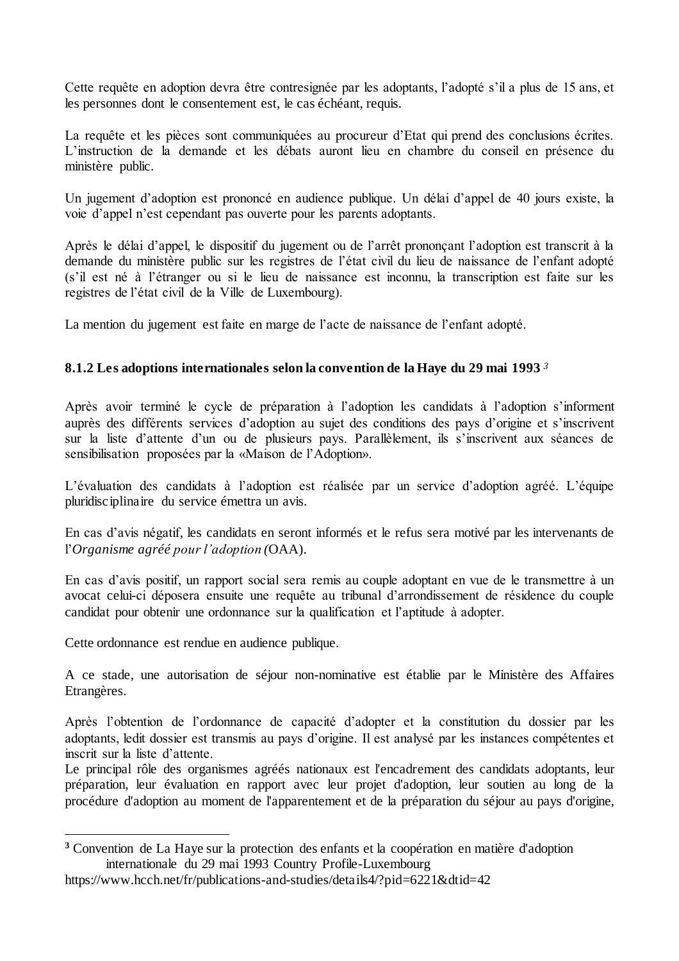Cette requête en adoption devra être contresignée par les adoptants, l'adopté s'il a plus de 15 ans, et les personnes dont le consentement est, le cas échéant, requis.

La requête et les pièces sont communiquées au procureur d'Etat qui prend des conclusions écrites. L'instruction de la demande et les débats auront lieu en chambre du conseil en présence du ministère public.

Un jugement d'adoption est prononcé en audience publique. Un délai d'appel de 40 jours existe, la voie d'appel n'est cependant pas ouverte pour les parents adoptants.

Après le délai d'appel, le dispositif du jugement ou de l'arrêt prononçant l'adoption est transcrit à la demande du ministère public sur les registres de l'état civil du lieu de naissance de l'enfant adopté (s'il est né à l'étranger ou si le lieu de naissance est inconnu, la transcription est faite sur les registres de l'état civil de la Ville de Luxembourg).

La mention du jugement est faite en marge de l'acte de naissance de l'enfant adopté.

### **8.1.2 Les adoptions internationales selon la convention de la Haye du 29 mai 1993** *<sup>3</sup>*

Après avoir terminé le cycle de préparation à l'adoption les candidats à l'adoption s'informent auprès des différents services d'adoption au sujet des conditions des pays d'origine et s'inscrivent sur la liste d'attente d'un ou de plusieurs pays. Parallèlement, ils s'inscrivent aux séances de sensibilisation proposées par la «Maison de l'Adoption».

L'évaluation des candidats à l'adoption est réalisée par un service d'adoption agréé. L'équipe pluridisciplinaire du service émettra un avis.

En cas d'avis négatif, les candidats en seront informés et le refus sera motivé par les intervenants de l'*Organisme agréé pour l'adoption (*OAA).

En cas d'avis positif, un rapport social sera remis au couple adoptant en vue de le transmettre à un avocat celui-ci déposera ensuite une requête au tribunal d'arrondissement de résidence du couple candidat pour obtenir une ordonnance sur la qualification et l'aptitude à adopter.

Cette ordonnance est rendue en audience publique.

1

A ce stade, une autorisation de séjour non-nominative est établie par le Ministère des Affaires Etrangères.

Après l'obtention de l'ordonnance de capacité d'adopter et la constitution du dossier par les adoptants, ledit dossier est transmis au pays d'origine. Il est analysé par les instances compétentes et inscrit sur la liste d'attente.

Le principal rôle des organismes agréés nationaux est l'encadrement des candidats adoptants, leur préparation, leur évaluation en rapport avec leur projet d'adoption, leur soutien au long de la procédure d'adoption au moment de l'apparentement et de la préparation du séjour au pays d'origine,

**<sup>3</sup>** Convention de La Haye sur la protection des enfants et la coopération en matière d'adoption internationale du 29 mai 1993 Country Profile-Luxembourg

https://www.hcch.net/fr/publications-and-studies/details4/?pid=6221&dtid=42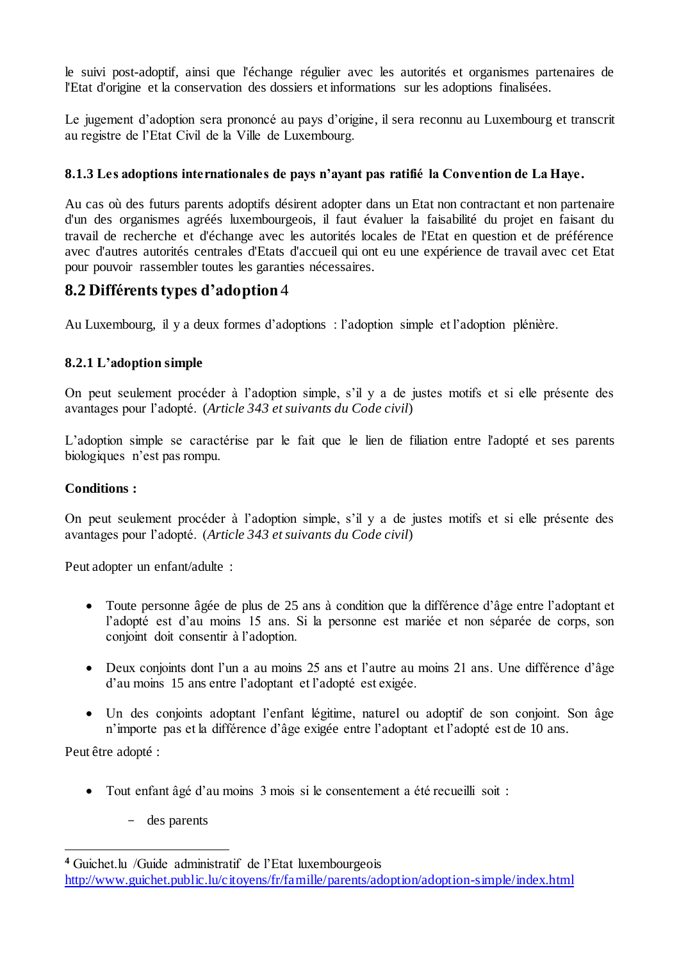le suivi post-adoptif, ainsi que l'échange régulier avec les autorités et organismes partenaires de l'Etat d'origine et la conservation des dossiers et informations sur les adoptions finalisées.

Le jugement d'adoption sera prononcé au pays d'origine, il sera reconnu au Luxembourg et transcrit au registre de l'Etat Civil de la Ville de Luxembourg.

# **8.1.3 Les adoptions internationales de pays n'ayant pas ratifié la Convention de La Haye.**

Au cas où des futurs parents adoptifs désirent adopter dans un Etat non contractant et non partenaire d'un des organismes agréés luxembourgeois, il faut évaluer la faisabilité du projet en faisant du travail de recherche et d'échange avec les autorités locales de l'Etat en question et de préférence avec d'autres autorités centrales d'Etats d'accueil qui ont eu une expérience de travail avec cet Etat pour pouvoir rassembler toutes les garanties nécessaires.

# **8.2 Différents types d'adoption**4

Au Luxembourg, il y a deux formes d'adoptions : l'adoption simple et l'adoption plénière.

# **8.2.1 L'adoption simple**

On peut seulement procéder à l'adoption simple, s'il y a de justes motifs et si elle présente des avantages pour l'adopté. (*Article 343 et suivants du Code civil*)

L'adoption simple se caractérise par le fait que le lien de filiation entre l'adopté et ses parents biologiques n'est pas rompu.

# **Conditions :**

On peut seulement procéder à l'adoption simple, s'il y a de justes motifs et si elle présente des avantages pour l'adopté. (*Article 343 et suivants du Code civil*)

Peut adopter un enfant/adulte :

- Toute personne âgée de plus de 25 ans à condition que la différence d'âge entre l'adoptant et l'adopté est d'au moins 15 ans. Si la personne est mariée et non séparée de corps, son conjoint doit consentir à l'adoption.
- Deux conjoints dont l'un a au moins 25 ans et l'autre au moins 21 ans. Une différence d'âge d'au moins 15 ans entre l'adoptant et l'adopté est exigée.
- Un des conjoints adoptant l'enfant légitime, naturel ou adoptif de son conjoint. Son âge n'importe pas et la différence d'âge exigée entre l'adoptant et l'adopté est de 10 ans.

Peut être adopté :

1

- Tout enfant âgé d'au moins 3 mois si le consentement a été recueilli soit :
	- des parents

**<sup>4</sup>** Guichet.lu /Guide administratif de l'Etat luxembourgeois <http://www.guichet.public.lu/citoyens/fr/famille/parents/adoption/adoption-simple/index.html>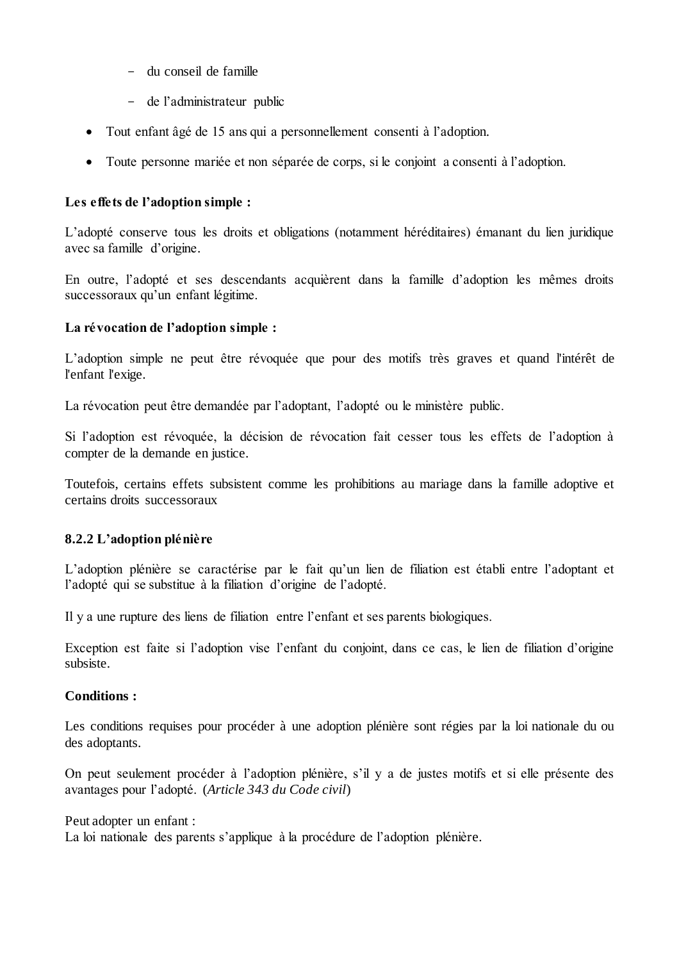- du conseil de famille
- de l'administrateur public
- Tout enfant âgé de 15 ans qui a personnellement consenti à l'adoption.
- Toute personne mariée et non séparée de corps, si le conjoint a consenti à l'adoption.

# **Les effets de l'adoption simple :**

L'adopté conserve tous les droits et obligations (notamment héréditaires) émanant du lien juridique avec sa famille d'origine.

En outre, l'adopté et ses descendants acquièrent dans la famille d'adoption les mêmes droits successoraux qu'un enfant légitime.

# **La révocation de l'adoption simple :**

L'adoption simple ne peut être révoquée que pour des motifs très graves et quand l'intérêt de l'enfant l'exige.

La révocation peut être demandée par l'adoptant, l'adopté ou le ministère public.

Si l'adoption est révoquée, la décision de révocation fait cesser tous les effets de l'adoption à compter de la demande en justice.

Toutefois, certains effets subsistent comme les prohibitions au mariage dans la famille adoptive et certains droits successoraux

# **8.2.2 L'adoption plénière**

L'adoption plénière se caractérise par le fait qu'un lien de filiation est établi entre l'adoptant et l'adopté qui se substitue à la filiation d'origine de l'adopté.

Il y a une rupture des liens de filiation entre l'enfant et ses parents biologiques.

Exception est faite si l'adoption vise l'enfant du conjoint, dans ce cas, le lien de filiation d'origine subsiste.

# **Conditions :**

Les conditions requises pour procéder à une adoption plénière sont régies par la loi nationale du ou des adoptants.

On peut seulement procéder à l'adoption plénière, s'il y a de justes motifs et si elle présente des avantages pour l'adopté. (*Article 343 du Code civil*)

### Peut adopter un enfant :

La loi nationale des parents s'applique à la procédure de l'adoption plénière.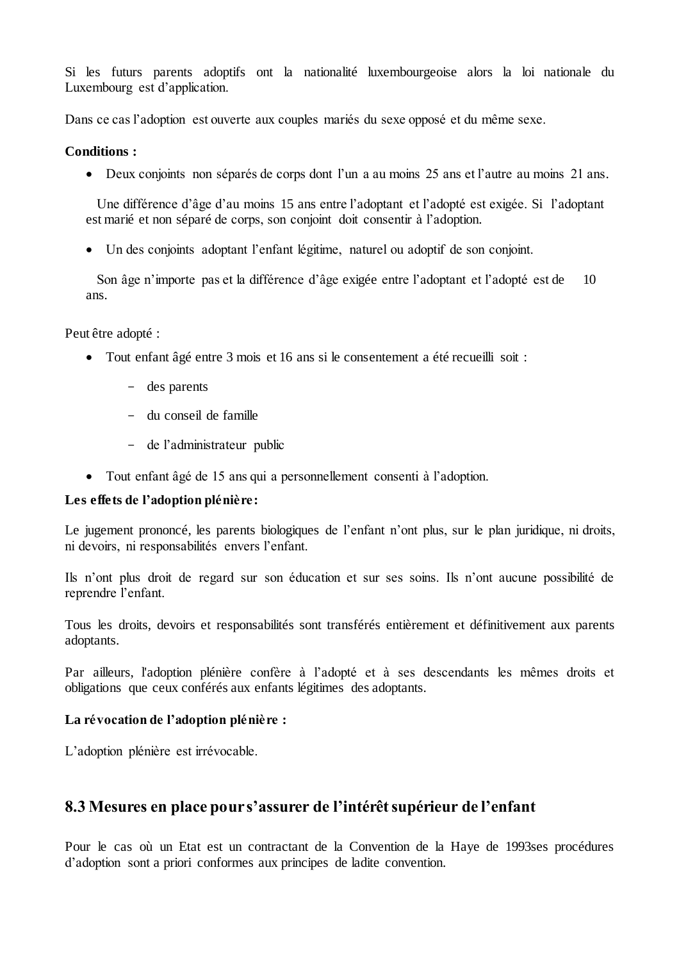Si les futurs parents adoptifs ont la nationalité luxembourgeoise alors la loi nationale du Luxembourg est d'application.

Dans ce cas l'adoption est ouverte aux couples mariés du sexe opposé et du même sexe.

### **Conditions :**

Deux conjoints non séparés de corps dont l'un a au moins 25 ans et l'autre au moins 21 ans.

Une différence d'âge d'au moins 15 ans entre l'adoptant et l'adopté est exigée. Si l'adoptant est marié et non séparé de corps, son conjoint doit consentir à l'adoption.

Un des conjoints adoptant l'enfant légitime, naturel ou adoptif de son conjoint.

Son âge n'importe pas et la différence d'âge exigée entre l'adoptant et l'adopté est de 10 ans.

Peut être adopté :

- Tout enfant âgé entre 3 mois et 16 ans si le consentement a été recueilli soit :
	- des parents
	- du conseil de famille
	- de l'administrateur public
- Tout enfant âgé de 15 ans qui a personnellement consenti à l'adoption.

### **Les effets de l'adoption plénière:**

Le jugement prononcé, les parents biologiques de l'enfant n'ont plus, sur le plan juridique, ni droits, ni devoirs, ni responsabilités envers l'enfant.

Ils n'ont plus droit de regard sur son éducation et sur ses soins. Ils n'ont aucune possibilité de reprendre l'enfant.

Tous les droits, devoirs et responsabilités sont transférés entièrement et définitivement aux parents adoptants.

Par ailleurs, l'adoption plénière confère à l'adopté et à ses descendants les mêmes droits et obligations que ceux conférés aux enfants légitimes des adoptants.

# **La révocation de l'adoption plénière :**

L'adoption plénière est irrévocable.

# **8.3 Mesures en place pour s'assurer de l'intérêt supérieur de l'enfant**

Pour le cas où un Etat est un contractant de la Convention de la Haye de 1993ses procédures d'adoption sont a priori conformes aux principes de ladite convention.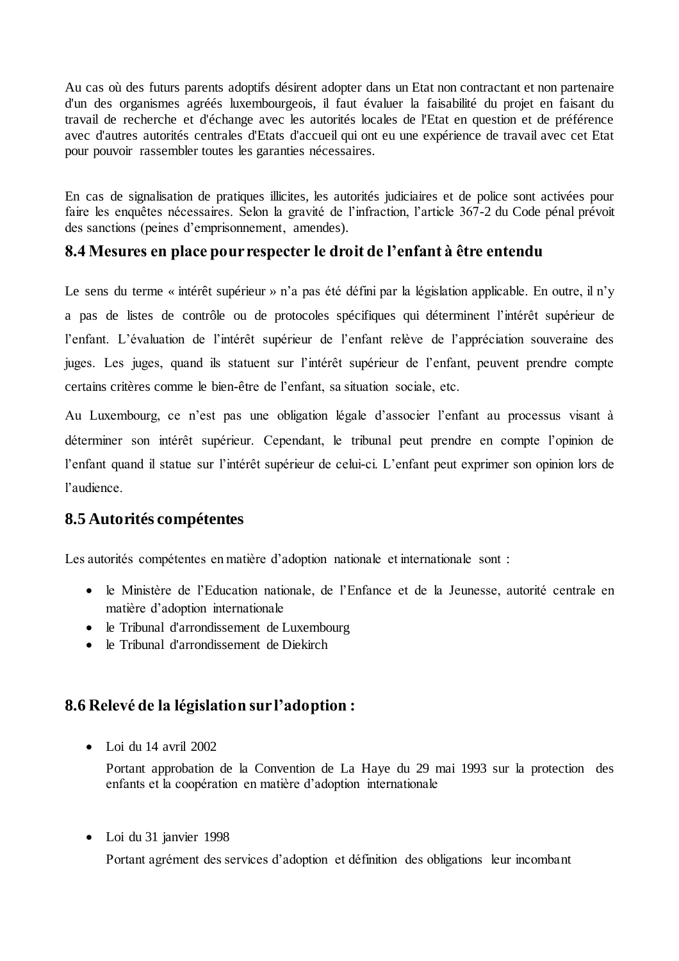Au cas où des futurs parents adoptifs désirent adopter dans un Etat non contractant et non partenaire d'un des organismes agréés luxembourgeois, il faut évaluer la faisabilité du projet en faisant du travail de recherche et d'échange avec les autorités locales de l'Etat en question et de préférence avec d'autres autorités centrales d'Etats d'accueil qui ont eu une expérience de travail avec cet Etat pour pouvoir rassembler toutes les garanties nécessaires.

En cas de signalisation de pratiques illicites, les autorités judiciaires et de police sont activées pour faire les enquêtes nécessaires. Selon la gravité de l'infraction, l'article 367-2 du Code pénal prévoit des sanctions (peines d'emprisonnement, amendes).

# **8.4 Mesures en place pour respecter le droit de l'enfant à être entendu**

Le sens du terme « intérêt supérieur » n'a pas été défini par la législation applicable. En outre, il n'y a pas de listes de contrôle ou de protocoles spécifiques qui déterminent l'intérêt supérieur de l'enfant. L'évaluation de l'intérêt supérieur de l'enfant relève de l'appréciation souveraine des juges. Les juges, quand ils statuent sur l'intérêt supérieur de l'enfant, peuvent prendre compte certains critères comme le bien-être de l'enfant, sa situation sociale, etc.

Au Luxembourg, ce n'est pas une obligation légale d'associer l'enfant au processus visant à déterminer son intérêt supérieur. Cependant, le tribunal peut prendre en compte l'opinion de l'enfant quand il statue sur l'intérêt supérieur de celui-ci. L'enfant peut exprimer son opinion lors de l'audience.

# **8.5 Autorités compétentes**

Les autorités compétentes en matière d'adoption nationale et internationale sont :

- le Ministère de l'Education nationale, de l'Enfance et de la Jeunesse, autorité centrale en matière d'adoption internationale
- le Tribunal d'arrondissement de Luxembourg
- le Tribunal d'arrondissement de Diekirch

# **8.6 Relevé de la législation sur l'adoption :**

Loi du 14 avril 2002

Portant approbation de la Convention de La Haye du 29 mai 1993 sur la protection des enfants et la coopération en matière d'adoption internationale

Loi du 31 janvier 1998

Portant agrément des services d'adoption et définition des obligations leur incombant